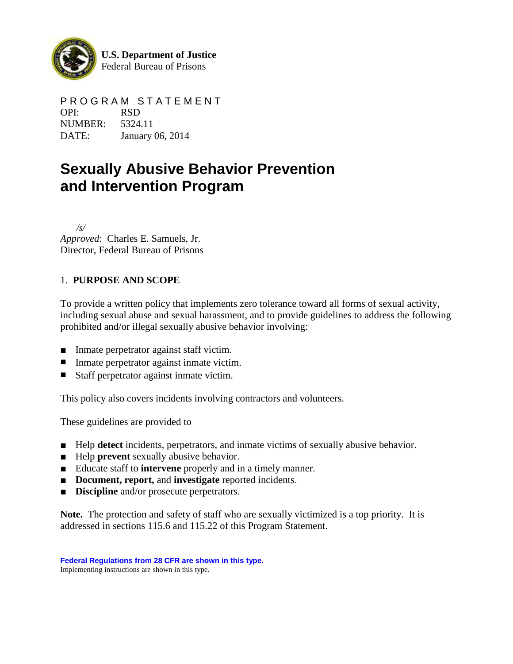

**U.S. Department of Justice** Federal Bureau of Prisons

P R O G R A M S T A T E M E N T OPI: RSD NUMBER: 5324.11 DATE: January 06, 2014

# **Sexually Abusive Behavior Prevention and Intervention Program**

 */s/ Approved*: Charles E. Samuels, Jr. Director, Federal Bureau of Prisons

# 1. **PURPOSE AND SCOPE**

To provide a written policy that implements zero tolerance toward all forms of sexual activity, including sexual abuse and sexual harassment, and to provide guidelines to address the following prohibited and/or illegal sexually abusive behavior involving:

- Inmate perpetrator against staff victim.
- Inmate perpetrator against inmate victim.
- Staff perpetrator against inmate victim.

This policy also covers incidents involving contractors and volunteers.

These guidelines are provided to

- Help **detect** incidents, perpetrators, and inmate victims of sexually abusive behavior.
- Help **prevent** sexually abusive behavior.
- Educate staff to **intervene** properly and in a timely manner.
- **Document, report, and investigate** reported incidents.
- **Discipline** and/or prosecute perpetrators.

**Note.** The protection and safety of staff who are sexually victimized is a top priority. It is addressed in sections 115.6 and 115.22 of this Program Statement.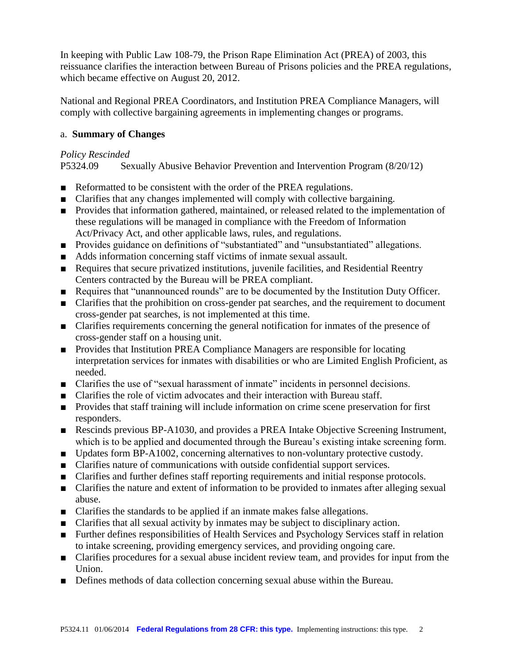In keeping with Public Law 108-79, the Prison Rape Elimination Act (PREA) of 2003, this reissuance clarifies the interaction between Bureau of Prisons policies and the PREA regulations, which became effective on August 20, 2012.

National and Regional PREA Coordinators, and Institution PREA Compliance Managers, will comply with collective bargaining agreements in implementing changes or programs.

# a. **Summary of Changes**

# *Policy Rescinded*

P5324.09 Sexually Abusive Behavior Prevention and Intervention Program (8/20/12)

- Reformatted to be consistent with the order of the PREA regulations.
- Clarifies that any changes implemented will comply with collective bargaining.
- Provides that information gathered, maintained, or released related to the implementation of these regulations will be managed in compliance with the Freedom of Information Act/Privacy Act, and other applicable laws, rules, and regulations.
- Provides guidance on definitions of "substantiated" and "unsubstantiated" allegations.
- Adds information concerning staff victims of inmate sexual assault.
- Requires that secure privatized institutions, juvenile facilities, and Residential Reentry Centers contracted by the Bureau will be PREA compliant.
- Requires that "unannounced rounds" are to be documented by the Institution Duty Officer.
- Clarifies that the prohibition on cross-gender pat searches, and the requirement to document cross-gender pat searches, is not implemented at this time.
- Clarifies requirements concerning the general notification for inmates of the presence of cross-gender staff on a housing unit.
- Provides that Institution PREA Compliance Managers are responsible for locating interpretation services for inmates with disabilities or who are Limited English Proficient, as needed.
- Clarifies the use of "sexual harassment of inmate" incidents in personnel decisions.
- Clarifies the role of victim advocates and their interaction with Bureau staff.
- Provides that staff training will include information on crime scene preservation for first responders.
- Rescinds previous BP-A1030, and provides a PREA Intake Objective Screening Instrument, which is to be applied and documented through the Bureau's existing intake screening form.
- Updates form BP-A1002, concerning alternatives to non-voluntary protective custody.
- Clarifies nature of communications with outside confidential support services.
- Clarifies and further defines staff reporting requirements and initial response protocols.
- Clarifies the nature and extent of information to be provided to inmates after alleging sexual abuse.
- Clarifies the standards to be applied if an inmate makes false allegations.
- Clarifies that all sexual activity by inmates may be subject to disciplinary action.
- Further defines responsibilities of Health Services and Psychology Services staff in relation to intake screening, providing emergency services, and providing ongoing care.
- Clarifies procedures for a sexual abuse incident review team, and provides for input from the Union.
- Defines methods of data collection concerning sexual abuse within the Bureau.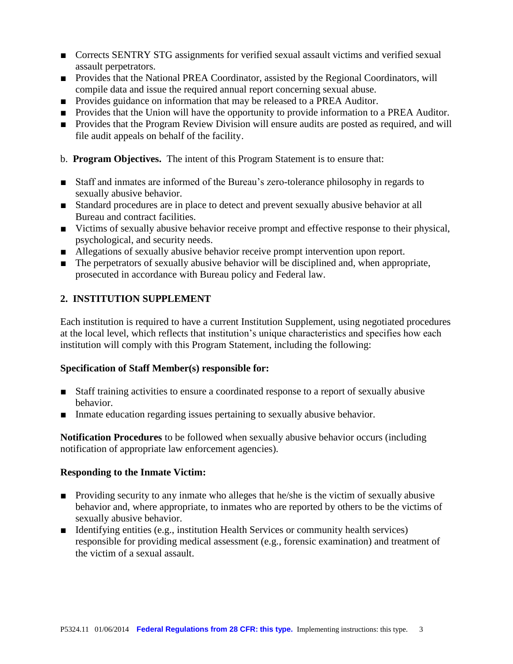- Corrects SENTRY STG assignments for verified sexual assault victims and verified sexual assault perpetrators.
- Provides that the National PREA Coordinator, assisted by the Regional Coordinators, will compile data and issue the required annual report concerning sexual abuse.
- Provides guidance on information that may be released to a PREA Auditor.
- Provides that the Union will have the opportunity to provide information to a PREA Auditor.
- Provides that the Program Review Division will ensure audits are posted as required, and will file audit appeals on behalf of the facility.
- b. **Program Objectives.** The intent of this Program Statement is to ensure that:
- Staff and inmates are informed of the Bureau's zero-tolerance philosophy in regards to sexually abusive behavior.
- Standard procedures are in place to detect and prevent sexually abusive behavior at all Bureau and contract facilities.
- Victims of sexually abusive behavior receive prompt and effective response to their physical, psychological, and security needs.
- Allegations of sexually abusive behavior receive prompt intervention upon report.
- The perpetrators of sexually abusive behavior will be disciplined and, when appropriate, prosecuted in accordance with Bureau policy and Federal law.

# **2. INSTITUTION SUPPLEMENT**

Each institution is required to have a current Institution Supplement, using negotiated procedures at the local level, which reflects that institution's unique characteristics and specifies how each institution will comply with this Program Statement, including the following:

# **Specification of Staff Member(s) responsible for:**

- Staff training activities to ensure a coordinated response to a report of sexually abusive behavior.
- Inmate education regarding issues pertaining to sexually abusive behavior.

**Notification Procedures** to be followed when sexually abusive behavior occurs (including notification of appropriate law enforcement agencies).

#### **Responding to the Inmate Victim:**

- Providing security to any inmate who alleges that he/she is the victim of sexually abusive behavior and, where appropriate, to inmates who are reported by others to be the victims of sexually abusive behavior.
- Identifying entities (e.g., institution Health Services or community health services) responsible for providing medical assessment (e.g., forensic examination) and treatment of the victim of a sexual assault.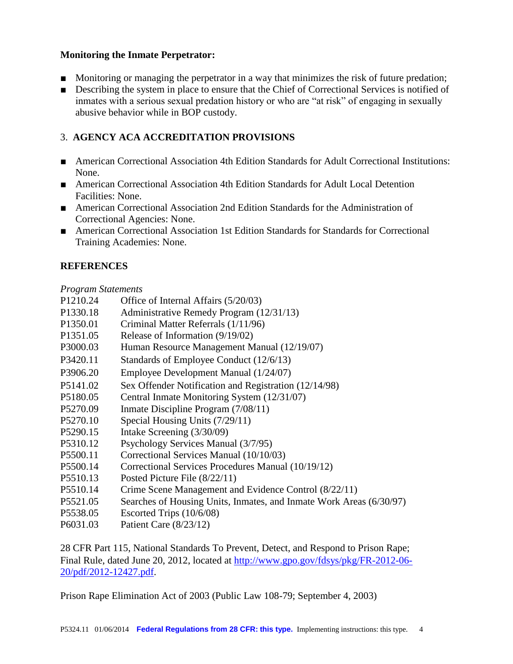# **Monitoring the Inmate Perpetrator:**

- Monitoring or managing the perpetrator in a way that minimizes the risk of future predation;
- Describing the system in place to ensure that the Chief of Correctional Services is notified of inmates with a serious sexual predation history or who are "at risk" of engaging in sexually abusive behavior while in BOP custody.

# 3. **AGENCY ACA ACCREDITATION PROVISIONS**

- American Correctional Association 4th Edition Standards for Adult Correctional Institutions: None.
- American Correctional Association 4th Edition Standards for Adult Local Detention Facilities: None.
- American Correctional Association 2nd Edition Standards for the Administration of Correctional Agencies: None.
- American Correctional Association 1st Edition Standards for Standards for Correctional Training Academies: None.

# **REFERENCES**

#### *Program Statements*

- P1210.24 Office of Internal Affairs (5/20/03)
- P1330.18 Administrative Remedy Program (12/31/13)
- P1350.01 Criminal Matter Referrals (1/11/96)
- P1351.05 Release of Information (9/19/02)
- P3000.03 Human Resource Management Manual (12/19/07)
- P3420.11 Standards of Employee Conduct (12/6/13)
- P3906.20 Employee Development Manual (1/24/07)
- P5141.02 Sex Offender Notification and Registration (12/14/98)
- P5180.05 Central Inmate Monitoring System (12/31/07)
- P5270.09 Inmate Discipline Program (7/08/11)
- P5270.10 Special Housing Units (7/29/11)
- P5290.15 Intake Screening (3/30/09)
- P5310.12 Psychology Services Manual (3/7/95)
- P5500.11 Correctional Services Manual (10/10/03)
- P5500.14 Correctional Services Procedures Manual (10/19/12)
- P5510.13 Posted Picture File (8/22/11)
- P5510.14 Crime Scene Management and Evidence Control (8/22/11)
- P5521.05 Searches of Housing Units, Inmates, and Inmate Work Areas (6/30/97)
- P5538.05 Escorted Trips (10/6/08)
- P6031.03 Patient Care (8/23/12)

28 CFR Part 115, National Standards To Prevent, Detect, and Respond to Prison Rape; Final Rule, dated June 20, 2012, located at [http://www.gpo.gov/fdsys/pkg/FR-2012-06-](http://www.gpo.gov/fdsys/pkg/FR-2012-06-20/pdf/2012-12427.pdf) [20/pdf/2012-12427.pdf.](http://www.gpo.gov/fdsys/pkg/FR-2012-06-20/pdf/2012-12427.pdf)

Prison Rape Elimination Act of 2003 (Public Law 108-79; September 4, 2003)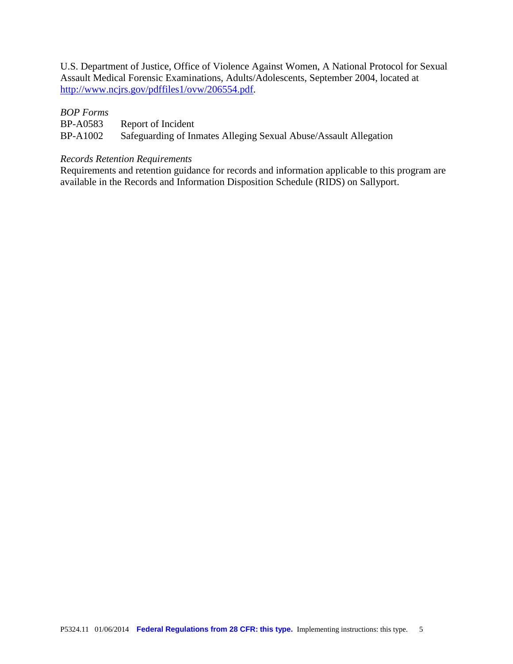U.S. Department of Justice, Office of Violence Against Women, A National Protocol for Sexual Assault Medical Forensic Examinations, Adults/Adolescents, September 2004, located at [http://www.ncjrs.gov/pdffiles1/ovw/206554.pdf.](http://www.ncjrs.gov/pdffiles1/ovw/206554.pdf)

# *BOP Forms*

| <b>BP-A0583</b> | Report of Incident                                               |
|-----------------|------------------------------------------------------------------|
| <b>BP-A1002</b> | Safeguarding of Inmates Alleging Sexual Abuse/Assault Allegation |

# *Records Retention Requirements*

Requirements and retention guidance for records and information applicable to this program are available in the Records and Information Disposition Schedule (RIDS) on Sallyport.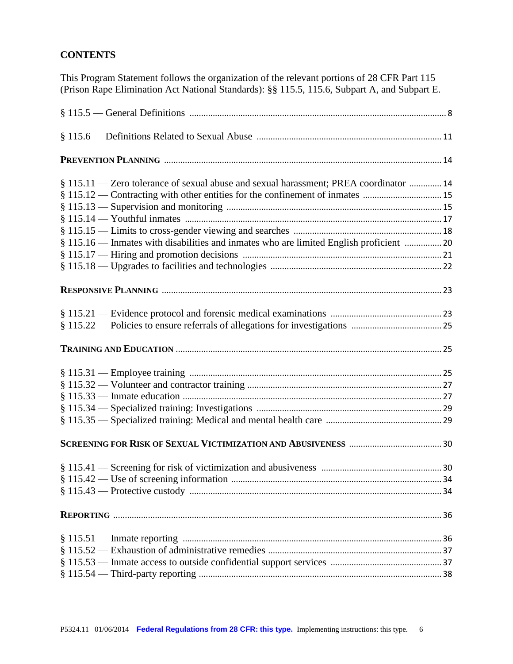# **CONTENTS**

This Program Statement follows the organization of the relevant portions of 28 CFR Part 115 (Prison Rape Elimination Act National Standards): §§ 115.5, 115.6, Subpart A, and Subpart E.

| § 115.11 — Zero tolerance of sexual abuse and sexual harassment; PREA coordinator  14   |    |
|-----------------------------------------------------------------------------------------|----|
| § 115.12 — Contracting with other entities for the confinement of inmates  15           |    |
|                                                                                         |    |
|                                                                                         |    |
|                                                                                         |    |
| § 115.16 — Inmates with disabilities and inmates who are limited English proficient  20 |    |
|                                                                                         |    |
|                                                                                         |    |
|                                                                                         |    |
|                                                                                         |    |
|                                                                                         |    |
|                                                                                         |    |
|                                                                                         |    |
|                                                                                         |    |
|                                                                                         |    |
|                                                                                         |    |
|                                                                                         |    |
|                                                                                         |    |
|                                                                                         |    |
|                                                                                         | 34 |
|                                                                                         |    |
|                                                                                         |    |
|                                                                                         |    |
|                                                                                         |    |
|                                                                                         |    |
|                                                                                         |    |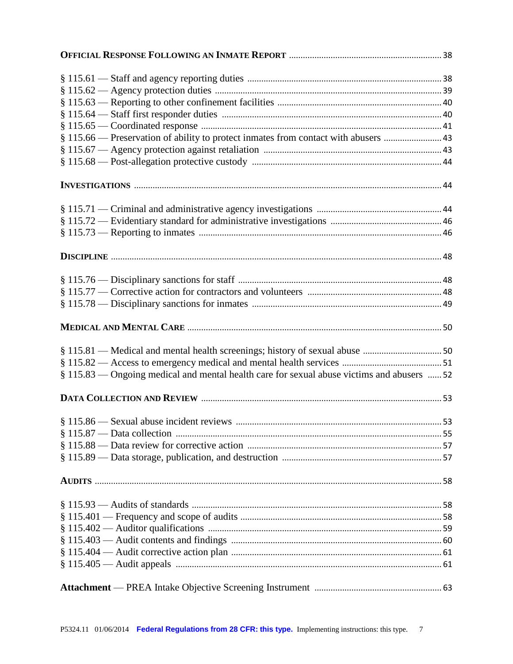| § 115.66 — Preservation of ability to protect inmates from contact with abusers  43        |    |
|--------------------------------------------------------------------------------------------|----|
|                                                                                            |    |
|                                                                                            |    |
|                                                                                            |    |
|                                                                                            |    |
|                                                                                            |    |
|                                                                                            |    |
|                                                                                            |    |
|                                                                                            |    |
|                                                                                            |    |
|                                                                                            |    |
|                                                                                            |    |
|                                                                                            |    |
|                                                                                            |    |
| § 115.83 — Ongoing medical and mental health care for sexual abuse victims and abusers  52 |    |
|                                                                                            |    |
|                                                                                            | 53 |
|                                                                                            |    |
|                                                                                            |    |
|                                                                                            |    |
|                                                                                            |    |
|                                                                                            |    |
|                                                                                            |    |
|                                                                                            |    |
|                                                                                            |    |
|                                                                                            |    |
|                                                                                            |    |
|                                                                                            |    |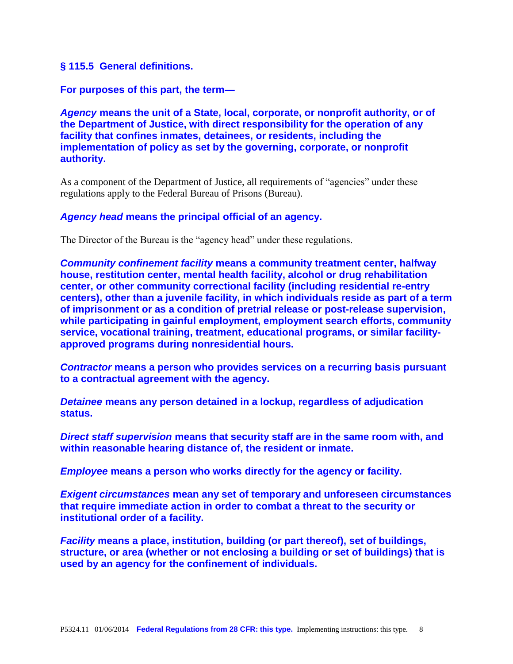#### **§ 115.5 General definitions.**

**For purposes of this part, the term—**

*Agency* **means the unit of a State, local, corporate, or nonprofit authority, or of the Department of Justice, with direct responsibility for the operation of any facility that confines inmates, detainees, or residents, including the implementation of policy as set by the governing, corporate, or nonprofit authority.**

As a component of the Department of Justice, all requirements of "agencies" under these regulations apply to the Federal Bureau of Prisons (Bureau).

#### *Agency head* **means the principal official of an agency.**

The Director of the Bureau is the "agency head" under these regulations.

*Community confinement facility* **means a community treatment center, halfway house, restitution center, mental health facility, alcohol or drug rehabilitation center, or other community correctional facility (including residential re-entry centers), other than a juvenile facility, in which individuals reside as part of a term of imprisonment or as a condition of pretrial release or post-release supervision, while participating in gainful employment, employment search efforts, community service, vocational training, treatment, educational programs, or similar facilityapproved programs during nonresidential hours.**

*Contractor* **means a person who provides services on a recurring basis pursuant to a contractual agreement with the agency.**

*Detainee* **means any person detained in a lockup, regardless of adjudication status.**

*Direct staff supervision* **means that security staff are in the same room with, and within reasonable hearing distance of, the resident or inmate.**

*Employee* **means a person who works directly for the agency or facility.**

*Exigent circumstances* **mean any set of temporary and unforeseen circumstances that require immediate action in order to combat a threat to the security or institutional order of a facility.**

*Facility* **means a place, institution, building (or part thereof), set of buildings, structure, or area (whether or not enclosing a building or set of buildings) that is used by an agency for the confinement of individuals.**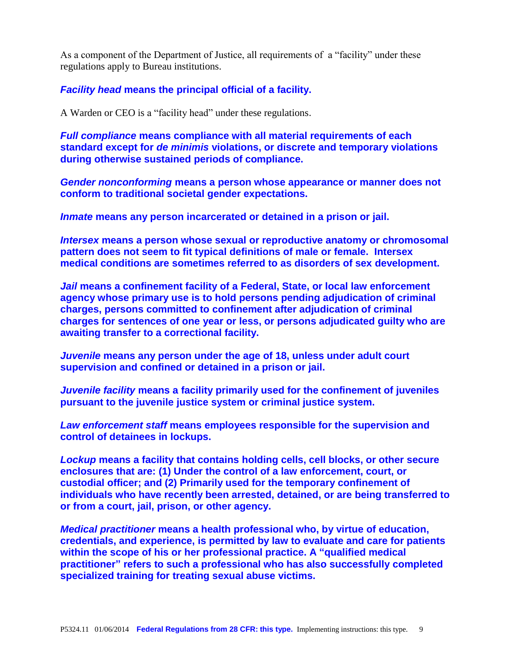As a component of the Department of Justice, all requirements of a "facility" under these regulations apply to Bureau institutions.

*Facility head* **means the principal official of a facility.**

A Warden or CEO is a "facility head" under these regulations.

*Full compliance* **means compliance with all material requirements of each standard except for** *de minimis* **violations, or discrete and temporary violations during otherwise sustained periods of compliance.**

*Gender nonconforming* **means a person whose appearance or manner does not conform to traditional societal gender expectations.**

*Inmate* **means any person incarcerated or detained in a prison or jail.**

*Intersex* **means a person whose sexual or reproductive anatomy or chromosomal pattern does not seem to fit typical definitions of male or female. Intersex medical conditions are sometimes referred to as disorders of sex development.**

*Jail* **means a confinement facility of a Federal, State, or local law enforcement agency whose primary use is to hold persons pending adjudication of criminal charges, persons committed to confinement after adjudication of criminal charges for sentences of one year or less, or persons adjudicated guilty who are awaiting transfer to a correctional facility.**

*Juvenile* **means any person under the age of 18, unless under adult court supervision and confined or detained in a prison or jail.**

*Juvenile facility* **means a facility primarily used for the confinement of juveniles pursuant to the juvenile justice system or criminal justice system.**

*Law enforcement staff* **means employees responsible for the supervision and control of detainees in lockups.**

*Lockup* **means a facility that contains holding cells, cell blocks, or other secure enclosures that are: (1) Under the control of a law enforcement, court, or custodial officer; and (2) Primarily used for the temporary confinement of individuals who have recently been arrested, detained, or are being transferred to or from a court, jail, prison, or other agency.**

*Medical practitioner* **means a health professional who, by virtue of education, credentials, and experience, is permitted by law to evaluate and care for patients within the scope of his or her professional practice. A "qualified medical practitioner" refers to such a professional who has also successfully completed specialized training for treating sexual abuse victims.**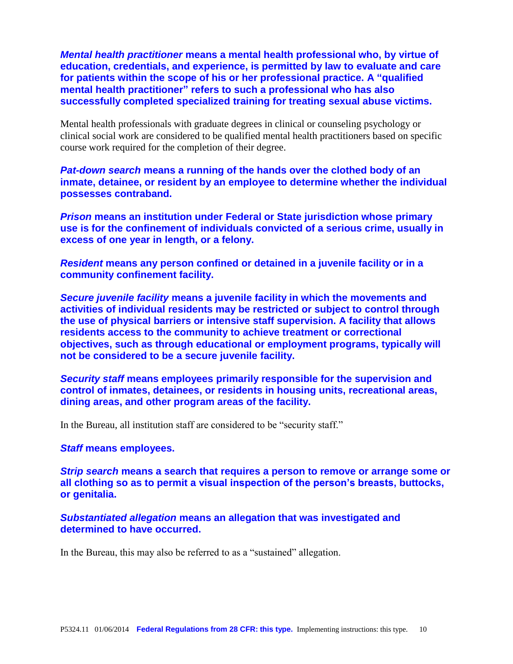*Mental health practitioner* **means a mental health professional who, by virtue of education, credentials, and experience, is permitted by law to evaluate and care for patients within the scope of his or her professional practice. A "qualified mental health practitioner" refers to such a professional who has also successfully completed specialized training for treating sexual abuse victims.**

Mental health professionals with graduate degrees in clinical or counseling psychology or clinical social work are considered to be qualified mental health practitioners based on specific course work required for the completion of their degree.

*Pat-down search* **means a running of the hands over the clothed body of an inmate, detainee, or resident by an employee to determine whether the individual possesses contraband.**

*Prison* **means an institution under Federal or State jurisdiction whose primary use is for the confinement of individuals convicted of a serious crime, usually in excess of one year in length, or a felony.**

*Resident* **means any person confined or detained in a juvenile facility or in a community confinement facility.**

*Secure juvenile facility* **means a juvenile facility in which the movements and activities of individual residents may be restricted or subject to control through the use of physical barriers or intensive staff supervision. A facility that allows residents access to the community to achieve treatment or correctional objectives, such as through educational or employment programs, typically will not be considered to be a secure juvenile facility.**

*Security staff* **means employees primarily responsible for the supervision and control of inmates, detainees, or residents in housing units, recreational areas, dining areas, and other program areas of the facility.**

In the Bureau, all institution staff are considered to be "security staff."

#### *Staff* **means employees.**

*Strip search* **means a search that requires a person to remove or arrange some or all clothing so as to permit a visual inspection of the person's breasts, buttocks, or genitalia.**

*Substantiated allegation* **means an allegation that was investigated and determined to have occurred.**

In the Bureau, this may also be referred to as a "sustained" allegation.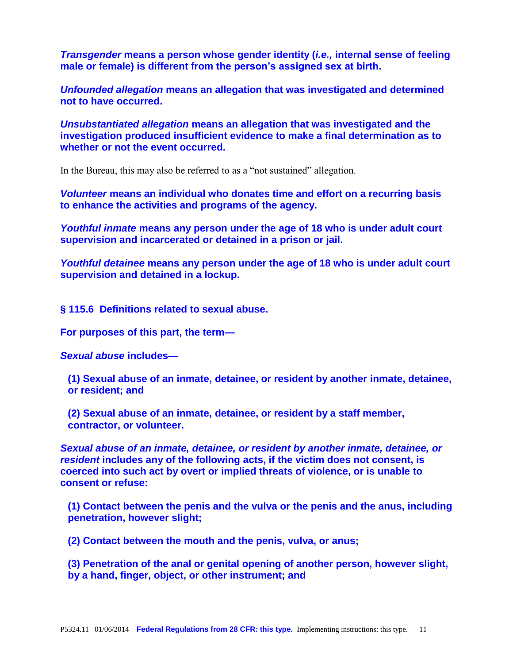*Transgender* **means a person whose gender identity (***i.e.,* **internal sense of feeling male or female) is different from the person's assigned sex at birth.**

*Unfounded allegation* **means an allegation that was investigated and determined not to have occurred.**

*Unsubstantiated allegation* **means an allegation that was investigated and the investigation produced insufficient evidence to make a final determination as to whether or not the event occurred.**

In the Bureau, this may also be referred to as a "not sustained" allegation.

*Volunteer* **means an individual who donates time and effort on a recurring basis to enhance the activities and programs of the agency.**

*Youthful inmate* **means any person under the age of 18 who is under adult court supervision and incarcerated or detained in a prison or jail.**

*Youthful detainee* **means any person under the age of 18 who is under adult court supervision and detained in a lockup.**

**§ 115.6 Definitions related to sexual abuse.**

**For purposes of this part, the term—**

*Sexual abuse* **includes—**

**(1) Sexual abuse of an inmate, detainee, or resident by another inmate, detainee, or resident; and**

**(2) Sexual abuse of an inmate, detainee, or resident by a staff member, contractor, or volunteer.**

*Sexual abuse of an inmate, detainee, or resident by another inmate, detainee, or resident* **includes any of the following acts, if the victim does not consent, is coerced into such act by overt or implied threats of violence, or is unable to consent or refuse:**

**(1) Contact between the penis and the vulva or the penis and the anus, including penetration, however slight;**

**(2) Contact between the mouth and the penis, vulva, or anus;**

**(3) Penetration of the anal or genital opening of another person, however slight, by a hand, finger, object, or other instrument; and**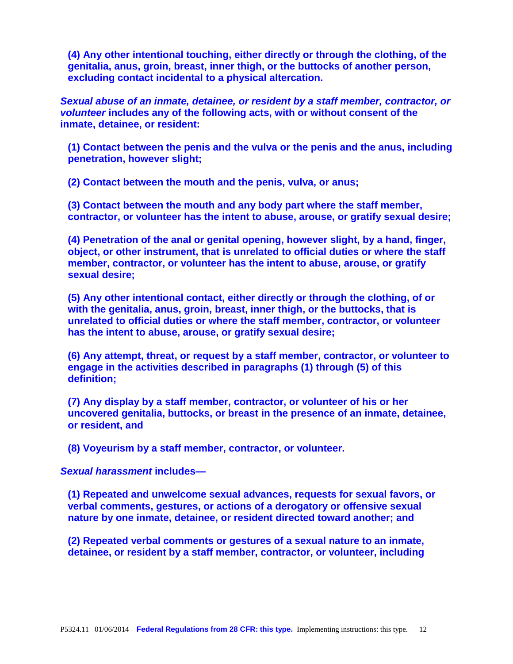**(4) Any other intentional touching, either directly or through the clothing, of the genitalia, anus, groin, breast, inner thigh, or the buttocks of another person, excluding contact incidental to a physical altercation.**

*Sexual abuse of an inmate, detainee, or resident by a staff member, contractor, or volunteer* **includes any of the following acts, with or without consent of the inmate, detainee, or resident:**

**(1) Contact between the penis and the vulva or the penis and the anus, including penetration, however slight;**

**(2) Contact between the mouth and the penis, vulva, or anus;**

**(3) Contact between the mouth and any body part where the staff member, contractor, or volunteer has the intent to abuse, arouse, or gratify sexual desire;**

**(4) Penetration of the anal or genital opening, however slight, by a hand, finger, object, or other instrument, that is unrelated to official duties or where the staff member, contractor, or volunteer has the intent to abuse, arouse, or gratify sexual desire;**

**(5) Any other intentional contact, either directly or through the clothing, of or with the genitalia, anus, groin, breast, inner thigh, or the buttocks, that is unrelated to official duties or where the staff member, contractor, or volunteer has the intent to abuse, arouse, or gratify sexual desire;**

**(6) Any attempt, threat, or request by a staff member, contractor, or volunteer to engage in the activities described in paragraphs (1) through (5) of this definition;**

**(7) Any display by a staff member, contractor, or volunteer of his or her uncovered genitalia, buttocks, or breast in the presence of an inmate, detainee, or resident, and**

**(8) Voyeurism by a staff member, contractor, or volunteer.**

#### *Sexual harassment* **includes—**

**(1) Repeated and unwelcome sexual advances, requests for sexual favors, or verbal comments, gestures, or actions of a derogatory or offensive sexual nature by one inmate, detainee, or resident directed toward another; and**

**(2) Repeated verbal comments or gestures of a sexual nature to an inmate, detainee, or resident by a staff member, contractor, or volunteer, including**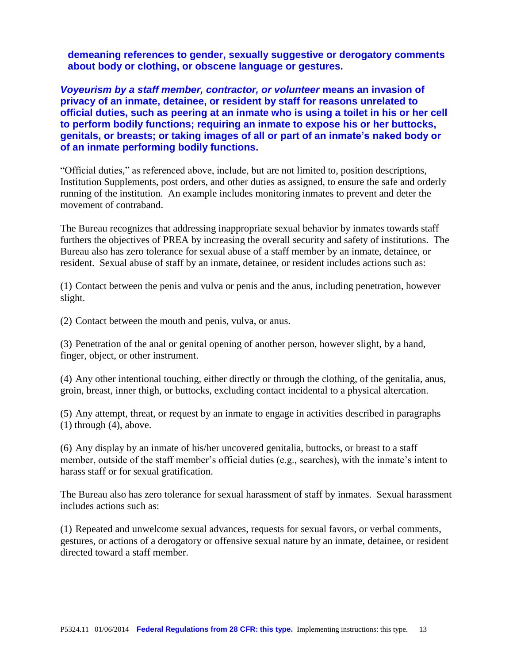**demeaning references to gender, sexually suggestive or derogatory comments about body or clothing, or obscene language or gestures.**

*Voyeurism by a staff member, contractor, or volunteer* **means an invasion of privacy of an inmate, detainee, or resident by staff for reasons unrelated to official duties, such as peering at an inmate who is using a toilet in his or her cell to perform bodily functions; requiring an inmate to expose his or her buttocks, genitals, or breasts; or taking images of all or part of an inmate's naked body or of an inmate performing bodily functions.**

"Official duties," as referenced above, include, but are not limited to, position descriptions, Institution Supplements, post orders, and other duties as assigned, to ensure the safe and orderly running of the institution. An example includes monitoring inmates to prevent and deter the movement of contraband.

The Bureau recognizes that addressing inappropriate sexual behavior by inmates towards staff furthers the objectives of PREA by increasing the overall security and safety of institutions. The Bureau also has zero tolerance for sexual abuse of a staff member by an inmate, detainee, or resident. Sexual abuse of staff by an inmate, detainee, or resident includes actions such as:

(1) Contact between the penis and vulva or penis and the anus, including penetration, however slight.

(2) Contact between the mouth and penis, vulva, or anus.

(3) Penetration of the anal or genital opening of another person, however slight, by a hand, finger, object, or other instrument.

(4) Any other intentional touching, either directly or through the clothing, of the genitalia, anus, groin, breast, inner thigh, or buttocks, excluding contact incidental to a physical altercation.

(5) Any attempt, threat, or request by an inmate to engage in activities described in paragraphs (1) through (4), above.

(6) Any display by an inmate of his/her uncovered genitalia, buttocks, or breast to a staff member, outside of the staff member's official duties (e.g., searches), with the inmate's intent to harass staff or for sexual gratification.

The Bureau also has zero tolerance for sexual harassment of staff by inmates. Sexual harassment includes actions such as:

(1) Repeated and unwelcome sexual advances, requests for sexual favors, or verbal comments, gestures, or actions of a derogatory or offensive sexual nature by an inmate, detainee, or resident directed toward a staff member.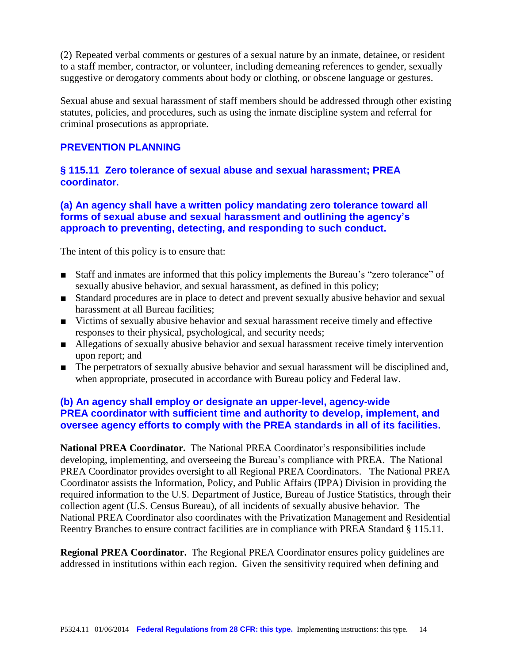(2) Repeated verbal comments or gestures of a sexual nature by an inmate, detainee, or resident to a staff member, contractor, or volunteer, including demeaning references to gender, sexually suggestive or derogatory comments about body or clothing, or obscene language or gestures.

Sexual abuse and sexual harassment of staff members should be addressed through other existing statutes, policies, and procedures, such as using the inmate discipline system and referral for criminal prosecutions as appropriate.

# **PREVENTION PLANNING**

# **§ 115.11 Zero tolerance of sexual abuse and sexual harassment; PREA coordinator.**

# **(a) An agency shall have a written policy mandating zero tolerance toward all forms of sexual abuse and sexual harassment and outlining the agency's approach to preventing, detecting, and responding to such conduct.**

The intent of this policy is to ensure that:

- Staff and inmates are informed that this policy implements the Bureau's "zero tolerance" of sexually abusive behavior, and sexual harassment, as defined in this policy;
- Standard procedures are in place to detect and prevent sexually abusive behavior and sexual harassment at all Bureau facilities;
- Victims of sexually abusive behavior and sexual harassment receive timely and effective responses to their physical, psychological, and security needs;
- Allegations of sexually abusive behavior and sexual harassment receive timely intervention upon report; and
- The perpetrators of sexually abusive behavior and sexual harassment will be disciplined and, when appropriate, prosecuted in accordance with Bureau policy and Federal law.

# **(b) An agency shall employ or designate an upper-level, agency-wide PREA coordinator with sufficient time and authority to develop, implement, and oversee agency efforts to comply with the PREA standards in all of its facilities.**

**National PREA Coordinator.** The National PREA Coordinator's responsibilities include developing, implementing, and overseeing the Bureau's compliance with PREA. The National PREA Coordinator provides oversight to all Regional PREA Coordinators. The National PREA Coordinator assists the Information, Policy, and Public Affairs (IPPA) Division in providing the required information to the U.S. Department of Justice, Bureau of Justice Statistics, through their collection agent (U.S. Census Bureau), of all incidents of sexually abusive behavior. The National PREA Coordinator also coordinates with the Privatization Management and Residential Reentry Branches to ensure contract facilities are in compliance with PREA Standard § 115.11.

**Regional PREA Coordinator.** The Regional PREA Coordinator ensures policy guidelines are addressed in institutions within each region. Given the sensitivity required when defining and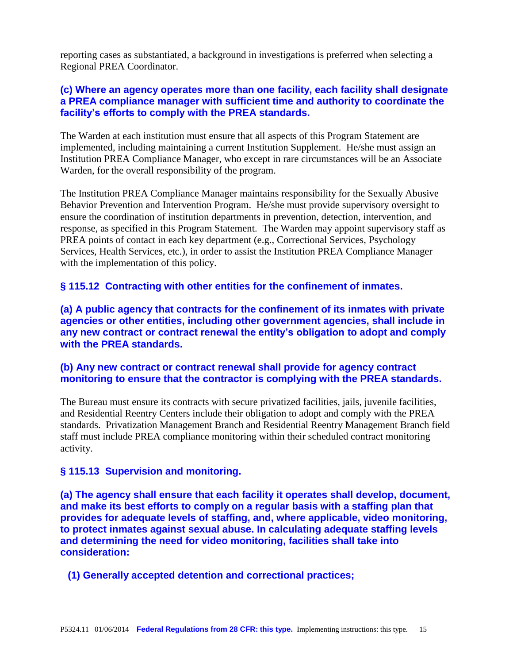reporting cases as substantiated, a background in investigations is preferred when selecting a Regional PREA Coordinator.

# **(c) Where an agency operates more than one facility, each facility shall designate a PREA compliance manager with sufficient time and authority to coordinate the facility's efforts to comply with the PREA standards.**

The Warden at each institution must ensure that all aspects of this Program Statement are implemented, including maintaining a current Institution Supplement. He/she must assign an Institution PREA Compliance Manager, who except in rare circumstances will be an Associate Warden, for the overall responsibility of the program.

The Institution PREA Compliance Manager maintains responsibility for the Sexually Abusive Behavior Prevention and Intervention Program. He/she must provide supervisory oversight to ensure the coordination of institution departments in prevention, detection, intervention, and response, as specified in this Program Statement. The Warden may appoint supervisory staff as PREA points of contact in each key department (e.g., Correctional Services, Psychology Services, Health Services, etc.), in order to assist the Institution PREA Compliance Manager with the implementation of this policy.

# **§ 115.12 Contracting with other entities for the confinement of inmates.**

**(a) A public agency that contracts for the confinement of its inmates with private agencies or other entities, including other government agencies, shall include in any new contract or contract renewal the entity's obligation to adopt and comply with the PREA standards.**

# **(b) Any new contract or contract renewal shall provide for agency contract monitoring to ensure that the contractor is complying with the PREA standards.**

The Bureau must ensure its contracts with secure privatized facilities, jails, juvenile facilities, and Residential Reentry Centers include their obligation to adopt and comply with the PREA standards. Privatization Management Branch and Residential Reentry Management Branch field staff must include PREA compliance monitoring within their scheduled contract monitoring activity.

#### **§ 115.13 Supervision and monitoring.**

**(a) The agency shall ensure that each facility it operates shall develop, document, and make its best efforts to comply on a regular basis with a staffing plan that provides for adequate levels of staffing, and, where applicable, video monitoring, to protect inmates against sexual abuse. In calculating adequate staffing levels and determining the need for video monitoring, facilities shall take into consideration:**

# **(1) Generally accepted detention and correctional practices;**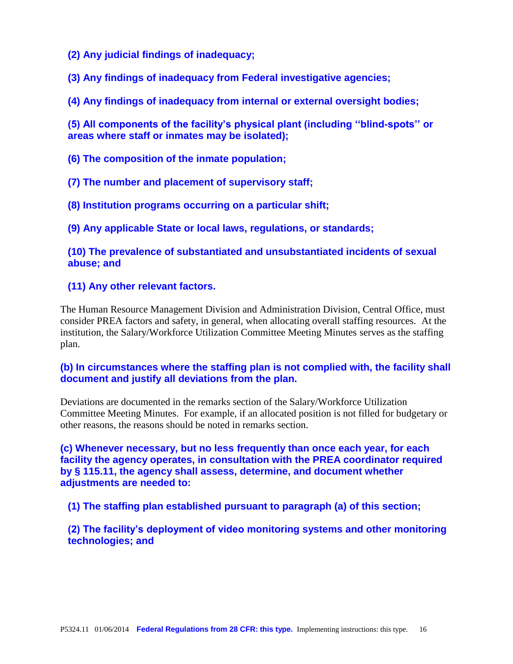**(2) Any judicial findings of inadequacy;**

**(3) Any findings of inadequacy from Federal investigative agencies;**

**(4) Any findings of inadequacy from internal or external oversight bodies;**

**(5) All components of the facility's physical plant (including ''blind-spots'' or areas where staff or inmates may be isolated);**

**(6) The composition of the inmate population;**

**(7) The number and placement of supervisory staff;**

**(8) Institution programs occurring on a particular shift;**

**(9) Any applicable State or local laws, regulations, or standards;**

**(10) The prevalence of substantiated and unsubstantiated incidents of sexual abuse; and**

# **(11) Any other relevant factors.**

The Human Resource Management Division and Administration Division, Central Office, must consider PREA factors and safety, in general, when allocating overall staffing resources. At the institution, the Salary/Workforce Utilization Committee Meeting Minutes serves as the staffing plan.

# **(b) In circumstances where the staffing plan is not complied with, the facility shall document and justify all deviations from the plan.**

Deviations are documented in the remarks section of the Salary/Workforce Utilization Committee Meeting Minutes. For example, if an allocated position is not filled for budgetary or other reasons, the reasons should be noted in remarks section.

**(c) Whenever necessary, but no less frequently than once each year, for each facility the agency operates, in consultation with the PREA coordinator required by § 115.11, the agency shall assess, determine, and document whether adjustments are needed to:**

**(1) The staffing plan established pursuant to paragraph (a) of this section;**

**(2) The facility's deployment of video monitoring systems and other monitoring technologies; and**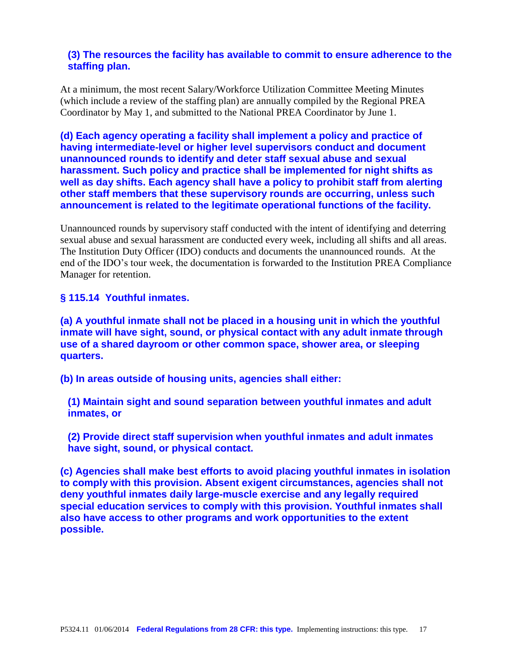# **(3) The resources the facility has available to commit to ensure adherence to the staffing plan.**

At a minimum, the most recent Salary/Workforce Utilization Committee Meeting Minutes (which include a review of the staffing plan) are annually compiled by the Regional PREA Coordinator by May 1, and submitted to the National PREA Coordinator by June 1.

**(d) Each agency operating a facility shall implement a policy and practice of having intermediate-level or higher level supervisors conduct and document unannounced rounds to identify and deter staff sexual abuse and sexual harassment. Such policy and practice shall be implemented for night shifts as well as day shifts. Each agency shall have a policy to prohibit staff from alerting other staff members that these supervisory rounds are occurring, unless such announcement is related to the legitimate operational functions of the facility.**

Unannounced rounds by supervisory staff conducted with the intent of identifying and deterring sexual abuse and sexual harassment are conducted every week, including all shifts and all areas. The Institution Duty Officer (IDO) conducts and documents the unannounced rounds. At the end of the IDO's tour week, the documentation is forwarded to the Institution PREA Compliance Manager for retention.

# **§ 115.14 Youthful inmates.**

**(a) A youthful inmate shall not be placed in a housing unit in which the youthful inmate will have sight, sound, or physical contact with any adult inmate through use of a shared dayroom or other common space, shower area, or sleeping quarters.**

**(b) In areas outside of housing units, agencies shall either:**

**(1) Maintain sight and sound separation between youthful inmates and adult inmates, or**

**(2) Provide direct staff supervision when youthful inmates and adult inmates have sight, sound, or physical contact.**

**(c) Agencies shall make best efforts to avoid placing youthful inmates in isolation to comply with this provision. Absent exigent circumstances, agencies shall not deny youthful inmates daily large-muscle exercise and any legally required special education services to comply with this provision. Youthful inmates shall also have access to other programs and work opportunities to the extent possible.**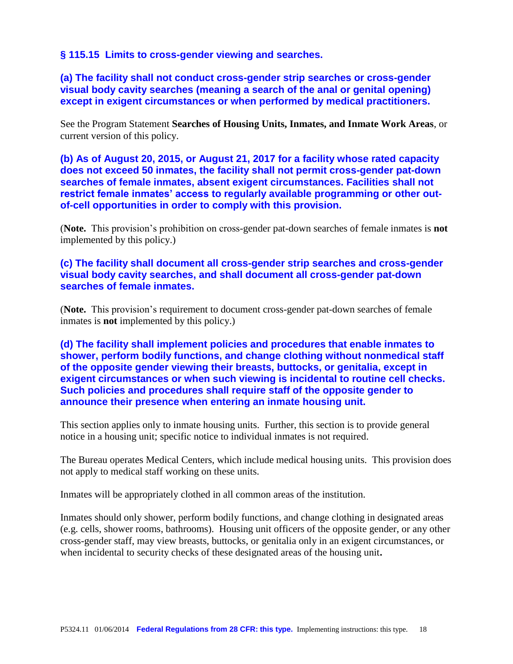# **§ 115.15 Limits to cross-gender viewing and searches.**

**(a) The facility shall not conduct cross-gender strip searches or cross-gender visual body cavity searches (meaning a search of the anal or genital opening) except in exigent circumstances or when performed by medical practitioners.**

See the Program Statement **Searches of Housing Units, Inmates, and Inmate Work Areas**, or current version of this policy.

**(b) As of August 20, 2015, or August 21, 2017 for a facility whose rated capacity does not exceed 50 inmates, the facility shall not permit cross-gender pat-down searches of female inmates, absent exigent circumstances. Facilities shall not restrict female inmates' access to regularly available programming or other outof-cell opportunities in order to comply with this provision.**

(**Note.** This provision's prohibition on cross-gender pat-down searches of female inmates is **not** implemented by this policy.)

# **(c) The facility shall document all cross-gender strip searches and cross-gender visual body cavity searches, and shall document all cross-gender pat-down searches of female inmates.**

(**Note.** This provision's requirement to document cross-gender pat-down searches of female inmates is **not** implemented by this policy.)

**(d) The facility shall implement policies and procedures that enable inmates to shower, perform bodily functions, and change clothing without nonmedical staff of the opposite gender viewing their breasts, buttocks, or genitalia, except in exigent circumstances or when such viewing is incidental to routine cell checks. Such policies and procedures shall require staff of the opposite gender to announce their presence when entering an inmate housing unit.**

This section applies only to inmate housing units. Further, this section is to provide general notice in a housing unit; specific notice to individual inmates is not required.

The Bureau operates Medical Centers, which include medical housing units. This provision does not apply to medical staff working on these units.

Inmates will be appropriately clothed in all common areas of the institution.

Inmates should only shower, perform bodily functions, and change clothing in designated areas (e.g. cells, shower rooms, bathrooms). Housing unit officers of the opposite gender, or any other cross-gender staff, may view breasts, buttocks, or genitalia only in an exigent circumstances, or when incidental to security checks of these designated areas of the housing unit.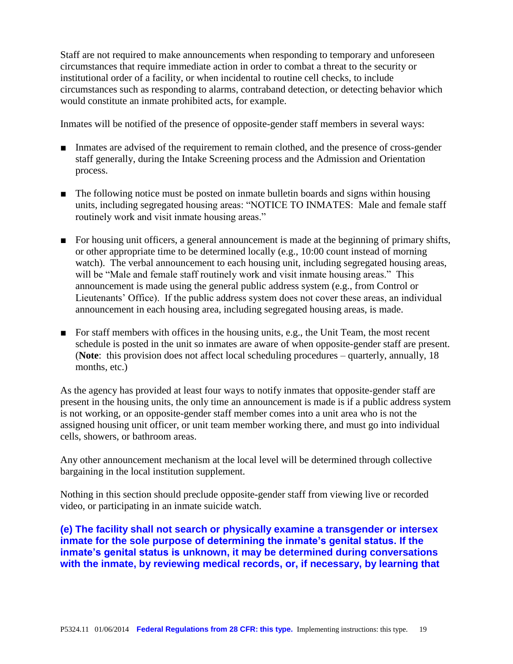Staff are not required to make announcements when responding to temporary and unforeseen circumstances that require immediate action in order to combat a threat to the security or institutional order of a facility, or when incidental to routine cell checks, to include circumstances such as responding to alarms, contraband detection, or detecting behavior which would constitute an inmate prohibited acts, for example.

Inmates will be notified of the presence of opposite-gender staff members in several ways:

- Inmates are advised of the requirement to remain clothed, and the presence of cross-gender staff generally, during the Intake Screening process and the Admission and Orientation process.
- The following notice must be posted on inmate bulletin boards and signs within housing units, including segregated housing areas: "NOTICE TO INMATES: Male and female staff routinely work and visit inmate housing areas."
- For housing unit officers, a general announcement is made at the beginning of primary shifts, or other appropriate time to be determined locally (e.g., 10:00 count instead of morning watch). The verbal announcement to each housing unit, including segregated housing areas, will be "Male and female staff routinely work and visit inmate housing areas." This announcement is made using the general public address system (e.g., from Control or Lieutenants' Office). If the public address system does not cover these areas, an individual announcement in each housing area, including segregated housing areas, is made.
- For staff members with offices in the housing units, e.g., the Unit Team, the most recent schedule is posted in the unit so inmates are aware of when opposite-gender staff are present. (**Note**: this provision does not affect local scheduling procedures – quarterly, annually, 18 months, etc.)

As the agency has provided at least four ways to notify inmates that opposite-gender staff are present in the housing units, the only time an announcement is made is if a public address system is not working, or an opposite-gender staff member comes into a unit area who is not the assigned housing unit officer, or unit team member working there, and must go into individual cells, showers, or bathroom areas.

Any other announcement mechanism at the local level will be determined through collective bargaining in the local institution supplement.

Nothing in this section should preclude opposite-gender staff from viewing live or recorded video, or participating in an inmate suicide watch.

**(e) The facility shall not search or physically examine a transgender or intersex inmate for the sole purpose of determining the inmate's genital status. If the inmate's genital status is unknown, it may be determined during conversations with the inmate, by reviewing medical records, or, if necessary, by learning that**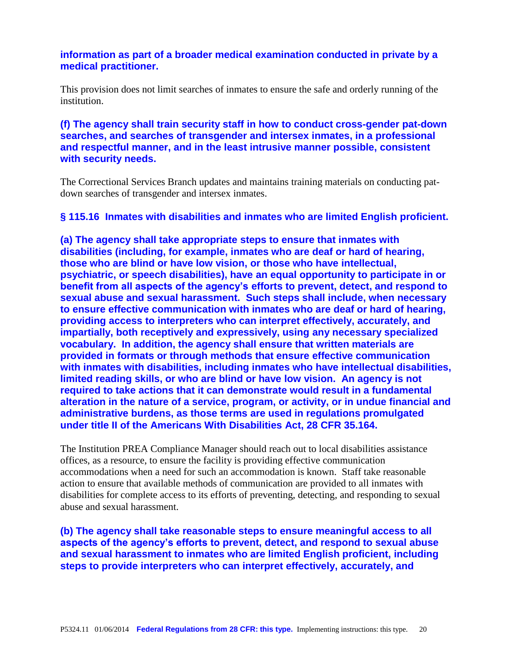# **information as part of a broader medical examination conducted in private by a medical practitioner.**

This provision does not limit searches of inmates to ensure the safe and orderly running of the institution.

# **(f) The agency shall train security staff in how to conduct cross-gender pat-down searches, and searches of transgender and intersex inmates, in a professional and respectful manner, and in the least intrusive manner possible, consistent with security needs.**

The Correctional Services Branch updates and maintains training materials on conducting patdown searches of transgender and intersex inmates.

# **§ 115.16 Inmates with disabilities and inmates who are limited English proficient.**

**(a) The agency shall take appropriate steps to ensure that inmates with disabilities (including, for example, inmates who are deaf or hard of hearing, those who are blind or have low vision, or those who have intellectual, psychiatric, or speech disabilities), have an equal opportunity to participate in or benefit from all aspects of the agency's efforts to prevent, detect, and respond to sexual abuse and sexual harassment. Such steps shall include, when necessary to ensure effective communication with inmates who are deaf or hard of hearing, providing access to interpreters who can interpret effectively, accurately, and impartially, both receptively and expressively, using any necessary specialized vocabulary. In addition, the agency shall ensure that written materials are provided in formats or through methods that ensure effective communication with inmates with disabilities, including inmates who have intellectual disabilities, limited reading skills, or who are blind or have low vision. An agency is not required to take actions that it can demonstrate would result in a fundamental alteration in the nature of a service, program, or activity, or in undue financial and administrative burdens, as those terms are used in regulations promulgated under title II of the Americans With Disabilities Act, 28 CFR 35.164.**

The Institution PREA Compliance Manager should reach out to local disabilities assistance offices, as a resource, to ensure the facility is providing effective communication accommodations when a need for such an accommodation is known. Staff take reasonable action to ensure that available methods of communication are provided to all inmates with disabilities for complete access to its efforts of preventing, detecting, and responding to sexual abuse and sexual harassment.

**(b) The agency shall take reasonable steps to ensure meaningful access to all aspects of the agency's efforts to prevent, detect, and respond to sexual abuse and sexual harassment to inmates who are limited English proficient, including steps to provide interpreters who can interpret effectively, accurately, and**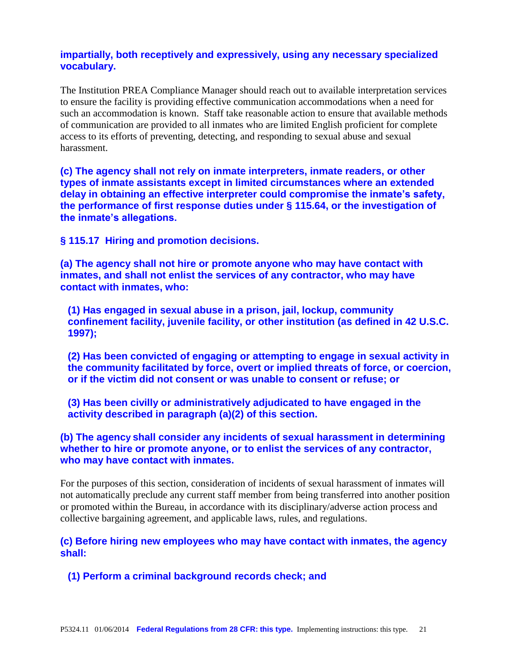# **impartially, both receptively and expressively, using any necessary specialized vocabulary.**

The Institution PREA Compliance Manager should reach out to available interpretation services to ensure the facility is providing effective communication accommodations when a need for such an accommodation is known. Staff take reasonable action to ensure that available methods of communication are provided to all inmates who are limited English proficient for complete access to its efforts of preventing, detecting, and responding to sexual abuse and sexual harassment.

**(c) The agency shall not rely on inmate interpreters, inmate readers, or other types of inmate assistants except in limited circumstances where an extended delay in obtaining an effective interpreter could compromise the inmate's safety, the performance of first response duties under § 115.64, or the investigation of the inmate's allegations.**

**§ 115.17 Hiring and promotion decisions.**

**(a) The agency shall not hire or promote anyone who may have contact with inmates, and shall not enlist the services of any contractor, who may have contact with inmates, who:**

**(1) Has engaged in sexual abuse in a prison, jail, lockup, community confinement facility, juvenile facility, or other institution (as defined in 42 U.S.C. 1997);**

**(2) Has been convicted of engaging or attempting to engage in sexual activity in the community facilitated by force, overt or implied threats of force, or coercion, or if the victim did not consent or was unable to consent or refuse; or**

**(3) Has been civilly or administratively adjudicated to have engaged in the activity described in paragraph (a)(2) of this section.**

**(b) The agency shall consider any incidents of sexual harassment in determining whether to hire or promote anyone, or to enlist the services of any contractor, who may have contact with inmates.**

For the purposes of this section, consideration of incidents of sexual harassment of inmates will not automatically preclude any current staff member from being transferred into another position or promoted within the Bureau, in accordance with its disciplinary/adverse action process and collective bargaining agreement, and applicable laws, rules, and regulations.

**(c) Before hiring new employees who may have contact with inmates, the agency shall:**

**(1) Perform a criminal background records check; and**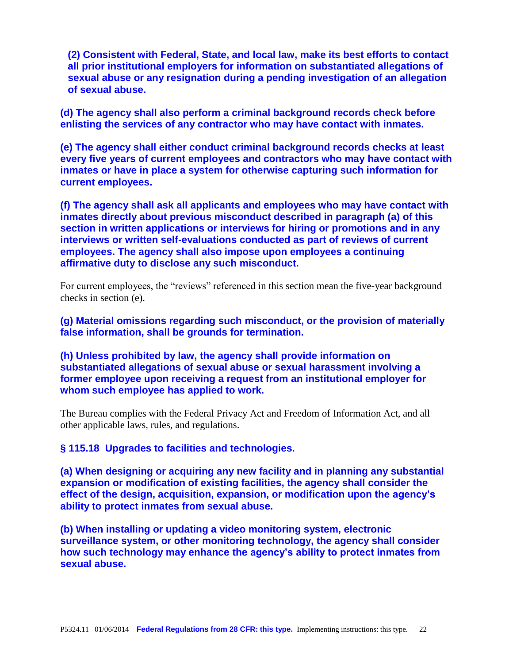**(2) Consistent with Federal, State, and local law, make its best efforts to contact all prior institutional employers for information on substantiated allegations of sexual abuse or any resignation during a pending investigation of an allegation of sexual abuse.**

**(d) The agency shall also perform a criminal background records check before enlisting the services of any contractor who may have contact with inmates.**

**(e) The agency shall either conduct criminal background records checks at least every five years of current employees and contractors who may have contact with inmates or have in place a system for otherwise capturing such information for current employees.**

**(f) The agency shall ask all applicants and employees who may have contact with inmates directly about previous misconduct described in paragraph (a) of this section in written applications or interviews for hiring or promotions and in any interviews or written self-evaluations conducted as part of reviews of current employees. The agency shall also impose upon employees a continuing affirmative duty to disclose any such misconduct.**

For current employees, the "reviews" referenced in this section mean the five-year background checks in section (e).

**(g) Material omissions regarding such misconduct, or the provision of materially false information, shall be grounds for termination.**

**(h) Unless prohibited by law, the agency shall provide information on substantiated allegations of sexual abuse or sexual harassment involving a former employee upon receiving a request from an institutional employer for whom such employee has applied to work.**

The Bureau complies with the Federal Privacy Act and Freedom of Information Act, and all other applicable laws, rules, and regulations.

**§ 115.18 Upgrades to facilities and technologies.**

**(a) When designing or acquiring any new facility and in planning any substantial expansion or modification of existing facilities, the agency shall consider the effect of the design, acquisition, expansion, or modification upon the agency's ability to protect inmates from sexual abuse.**

**(b) When installing or updating a video monitoring system, electronic surveillance system, or other monitoring technology, the agency shall consider how such technology may enhance the agency's ability to protect inmates from sexual abuse.**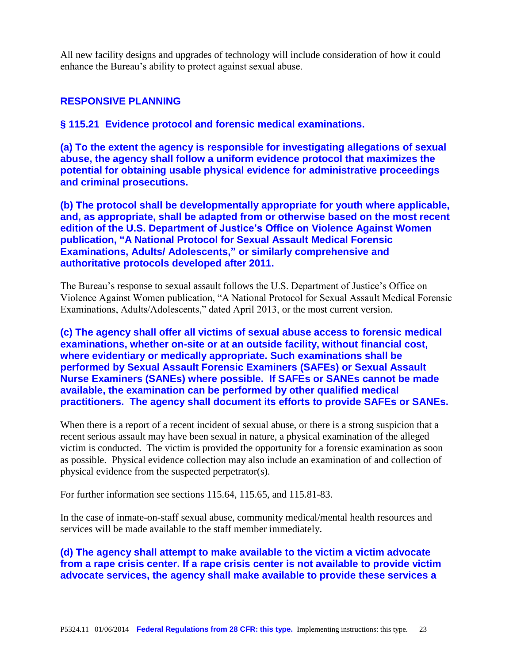All new facility designs and upgrades of technology will include consideration of how it could enhance the Bureau's ability to protect against sexual abuse.

## **RESPONSIVE PLANNING**

**§ 115.21 Evidence protocol and forensic medical examinations.**

**(a) To the extent the agency is responsible for investigating allegations of sexual abuse, the agency shall follow a uniform evidence protocol that maximizes the potential for obtaining usable physical evidence for administrative proceedings and criminal prosecutions.**

**(b) The protocol shall be developmentally appropriate for youth where applicable, and, as appropriate, shall be adapted from or otherwise based on the most recent edition of the U.S. Department of Justice's Office on Violence Against Women publication, "A National Protocol for Sexual Assault Medical Forensic Examinations, Adults/ Adolescents," or similarly comprehensive and authoritative protocols developed after 2011.**

The Bureau's response to sexual assault follows the U.S. Department of Justice's Office on Violence Against Women publication, "A National Protocol for Sexual Assault Medical Forensic Examinations, Adults/Adolescents," dated April 2013, or the most current version.

**(c) The agency shall offer all victims of sexual abuse access to forensic medical examinations, whether on-site or at an outside facility, without financial cost, where evidentiary or medically appropriate. Such examinations shall be performed by Sexual Assault Forensic Examiners (SAFEs) or Sexual Assault Nurse Examiners (SANEs) where possible. If SAFEs or SANEs cannot be made available, the examination can be performed by other qualified medical practitioners. The agency shall document its efforts to provide SAFEs or SANEs.**

When there is a report of a recent incident of sexual abuse, or there is a strong suspicion that a recent serious assault may have been sexual in nature, a physical examination of the alleged victim is conducted. The victim is provided the opportunity for a forensic examination as soon as possible. Physical evidence collection may also include an examination of and collection of physical evidence from the suspected perpetrator(s).

For further information see sections 115.64, 115.65, and 115.81-83.

In the case of inmate-on-staff sexual abuse, community medical/mental health resources and services will be made available to the staff member immediately.

**(d) The agency shall attempt to make available to the victim a victim advocate from a rape crisis center. If a rape crisis center is not available to provide victim advocate services, the agency shall make available to provide these services a**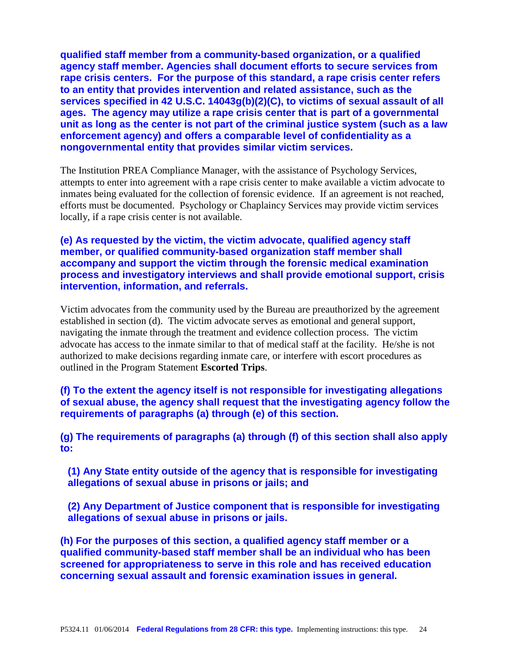**qualified staff member from a community-based organization, or a qualified agency staff member. Agencies shall document efforts to secure services from rape crisis centers. For the purpose of this standard, a rape crisis center refers to an entity that provides intervention and related assistance, such as the services specified in 42 U.S.C. 14043g(b)(2)(C), to victims of sexual assault of all ages. The agency may utilize a rape crisis center that is part of a governmental unit as long as the center is not part of the criminal justice system (such as a law enforcement agency) and offers a comparable level of confidentiality as a nongovernmental entity that provides similar victim services.**

The Institution PREA Compliance Manager, with the assistance of Psychology Services, attempts to enter into agreement with a rape crisis center to make available a victim advocate to inmates being evaluated for the collection of forensic evidence. If an agreement is not reached, efforts must be documented. Psychology or Chaplaincy Services may provide victim services locally, if a rape crisis center is not available.

# **(e) As requested by the victim, the victim advocate, qualified agency staff member, or qualified community-based organization staff member shall accompany and support the victim through the forensic medical examination process and investigatory interviews and shall provide emotional support, crisis intervention, information, and referrals.**

Victim advocates from the community used by the Bureau are preauthorized by the agreement established in section (d). The victim advocate serves as emotional and general support, navigating the inmate through the treatment and evidence collection process. The victim advocate has access to the inmate similar to that of medical staff at the facility. He/she is not authorized to make decisions regarding inmate care, or interfere with escort procedures as outlined in the Program Statement **Escorted Trips**.

**(f) To the extent the agency itself is not responsible for investigating allegations of sexual abuse, the agency shall request that the investigating agency follow the requirements of paragraphs (a) through (e) of this section.**

**(g) The requirements of paragraphs (a) through (f) of this section shall also apply to:**

**(1) Any State entity outside of the agency that is responsible for investigating allegations of sexual abuse in prisons or jails; and**

**(2) Any Department of Justice component that is responsible for investigating allegations of sexual abuse in prisons or jails.**

**(h) For the purposes of this section, a qualified agency staff member or a qualified community-based staff member shall be an individual who has been screened for appropriateness to serve in this role and has received education concerning sexual assault and forensic examination issues in general.**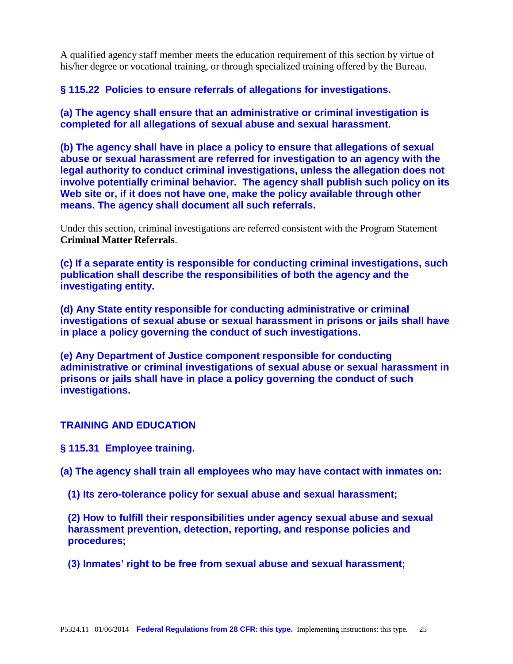A qualified agency staff member meets the education requirement of this section by virtue of his/her degree or vocational training, or through specialized training offered by the Bureau.

**§ 115.22 Policies to ensure referrals of allegations for investigations.**

**(a) The agency shall ensure that an administrative or criminal investigation is completed for all allegations of sexual abuse and sexual harassment.**

**(b) The agency shall have in place a policy to ensure that allegations of sexual abuse or sexual harassment are referred for investigation to an agency with the legal authority to conduct criminal investigations, unless the allegation does not involve potentially criminal behavior. The agency shall publish such policy on its Web site or, if it does not have one, make the policy available through other means. The agency shall document all such referrals.**

Under this section, criminal investigations are referred consistent with the Program Statement **Criminal Matter Referrals**.

**(c) If a separate entity is responsible for conducting criminal investigations, such publication shall describe the responsibilities of both the agency and the investigating entity.**

**(d) Any State entity responsible for conducting administrative or criminal investigations of sexual abuse or sexual harassment in prisons or jails shall have in place a policy governing the conduct of such investigations.**

**(e) Any Department of Justice component responsible for conducting administrative or criminal investigations of sexual abuse or sexual harassment in prisons or jails shall have in place a policy governing the conduct of such investigations.**

# **TRAINING AND EDUCATION**

**§ 115.31 Employee training.**

**(a) The agency shall train all employees who may have contact with inmates on:**

**(1) Its zero-tolerance policy for sexual abuse and sexual harassment;**

**(2) How to fulfill their responsibilities under agency sexual abuse and sexual harassment prevention, detection, reporting, and response policies and procedures;**

**(3) Inmates' right to be free from sexual abuse and sexual harassment;**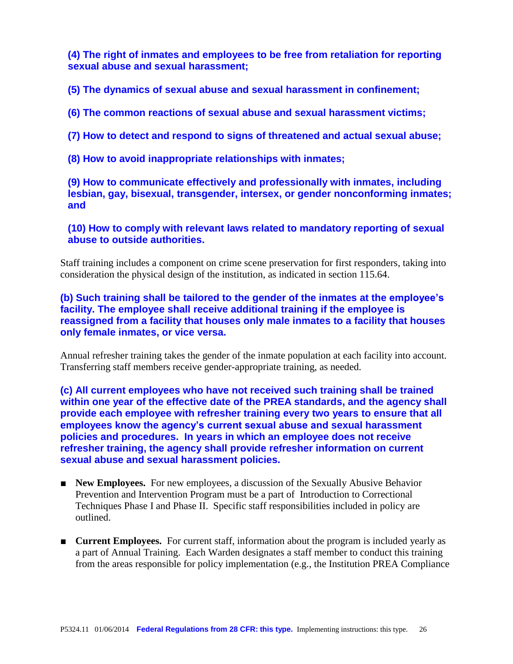**(4) The right of inmates and employees to be free from retaliation for reporting sexual abuse and sexual harassment;**

**(5) The dynamics of sexual abuse and sexual harassment in confinement;**

**(6) The common reactions of sexual abuse and sexual harassment victims;**

**(7) How to detect and respond to signs of threatened and actual sexual abuse;**

**(8) How to avoid inappropriate relationships with inmates;**

**(9) How to communicate effectively and professionally with inmates, including lesbian, gay, bisexual, transgender, intersex, or gender nonconforming inmates; and**

**(10) How to comply with relevant laws related to mandatory reporting of sexual abuse to outside authorities.**

Staff training includes a component on crime scene preservation for first responders, taking into consideration the physical design of the institution, as indicated in section 115.64.

**(b) Such training shall be tailored to the gender of the inmates at the employee's facility. The employee shall receive additional training if the employee is reassigned from a facility that houses only male inmates to a facility that houses only female inmates, or vice versa.**

Annual refresher training takes the gender of the inmate population at each facility into account. Transferring staff members receive gender-appropriate training, as needed.

**(c) All current employees who have not received such training shall be trained within one year of the effective date of the PREA standards, and the agency shall provide each employee with refresher training every two years to ensure that all employees know the agency's current sexual abuse and sexual harassment policies and procedures. In years in which an employee does not receive refresher training, the agency shall provide refresher information on current sexual abuse and sexual harassment policies.**

- **New Employees.** For new employees, a discussion of the Sexually Abusive Behavior Prevention and Intervention Program must be a part of Introduction to Correctional Techniques Phase I and Phase II. Specific staff responsibilities included in policy are outlined.
- **Current Employees.** For current staff, information about the program is included yearly as a part of Annual Training. Each Warden designates a staff member to conduct this training from the areas responsible for policy implementation (e.g., the Institution PREA Compliance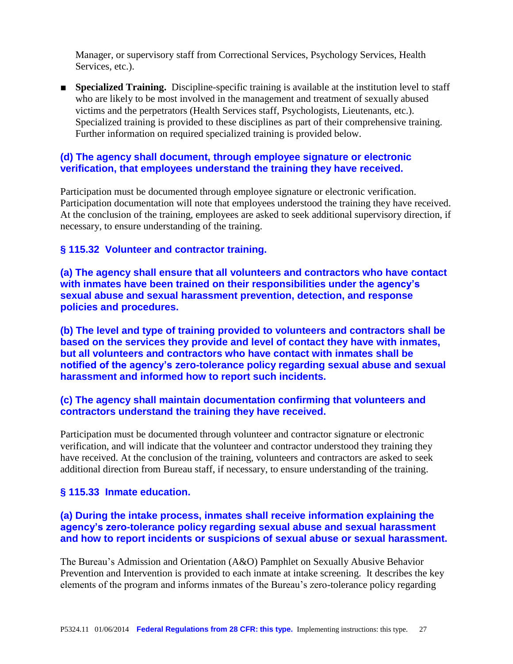Manager, or supervisory staff from Correctional Services, Psychology Services, Health Services, etc.).

■ **Specialized Training.** Discipline-specific training is available at the institution level to staff who are likely to be most involved in the management and treatment of sexually abused victims and the perpetrators (Health Services staff, Psychologists, Lieutenants, etc.). Specialized training is provided to these disciplines as part of their comprehensive training. Further information on required specialized training is provided below.

# **(d) The agency shall document, through employee signature or electronic verification, that employees understand the training they have received.**

Participation must be documented through employee signature or electronic verification. Participation documentation will note that employees understood the training they have received. At the conclusion of the training, employees are asked to seek additional supervisory direction, if necessary, to ensure understanding of the training.

# **§ 115.32 Volunteer and contractor training.**

**(a) The agency shall ensure that all volunteers and contractors who have contact with inmates have been trained on their responsibilities under the agency's sexual abuse and sexual harassment prevention, detection, and response policies and procedures.**

**(b) The level and type of training provided to volunteers and contractors shall be based on the services they provide and level of contact they have with inmates, but all volunteers and contractors who have contact with inmates shall be notified of the agency's zero-tolerance policy regarding sexual abuse and sexual harassment and informed how to report such incidents.**

# **(c) The agency shall maintain documentation confirming that volunteers and contractors understand the training they have received.**

Participation must be documented through volunteer and contractor signature or electronic verification, and will indicate that the volunteer and contractor understood they training they have received. At the conclusion of the training, volunteers and contractors are asked to seek additional direction from Bureau staff, if necessary, to ensure understanding of the training.

# **§ 115.33 Inmate education.**

# **(a) During the intake process, inmates shall receive information explaining the agency's zero-tolerance policy regarding sexual abuse and sexual harassment and how to report incidents or suspicions of sexual abuse or sexual harassment.**

The Bureau's Admission and Orientation (A&O) Pamphlet on Sexually Abusive Behavior Prevention and Intervention is provided to each inmate at intake screening. It describes the key elements of the program and informs inmates of the Bureau's zero-tolerance policy regarding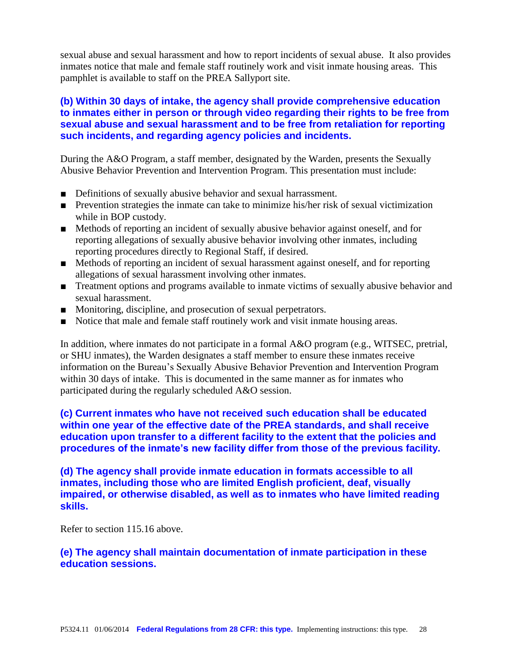sexual abuse and sexual harassment and how to report incidents of sexual abuse. It also provides inmates notice that male and female staff routinely work and visit inmate housing areas. This pamphlet is available to staff on the PREA Sallyport site.

# **(b) Within 30 days of intake, the agency shall provide comprehensive education to inmates either in person or through video regarding their rights to be free from sexual abuse and sexual harassment and to be free from retaliation for reporting such incidents, and regarding agency policies and incidents.**

During the A&O Program, a staff member, designated by the Warden, presents the Sexually Abusive Behavior Prevention and Intervention Program. This presentation must include:

- Definitions of sexually abusive behavior and sexual harrassment.
- Prevention strategies the inmate can take to minimize his/her risk of sexual victimization while in BOP custody.
- Methods of reporting an incident of sexually abusive behavior against oneself, and for reporting allegations of sexually abusive behavior involving other inmates, including reporting procedures directly to Regional Staff, if desired.
- Methods of reporting an incident of sexual harassment against oneself, and for reporting allegations of sexual harassment involving other inmates.
- Treatment options and programs available to inmate victims of sexually abusive behavior and sexual harassment.
- Monitoring, discipline, and prosecution of sexual perpetrators.
- Notice that male and female staff routinely work and visit inmate housing areas.

In addition, where inmates do not participate in a formal A&O program (e.g., WITSEC, pretrial, or SHU inmates), the Warden designates a staff member to ensure these inmates receive information on the Bureau's Sexually Abusive Behavior Prevention and Intervention Program within 30 days of intake. This is documented in the same manner as for inmates who participated during the regularly scheduled A&O session.

**(c) Current inmates who have not received such education shall be educated within one year of the effective date of the PREA standards, and shall receive education upon transfer to a different facility to the extent that the policies and procedures of the inmate's new facility differ from those of the previous facility.**

**(d) The agency shall provide inmate education in formats accessible to all inmates, including those who are limited English proficient, deaf, visually impaired, or otherwise disabled, as well as to inmates who have limited reading skills.**

Refer to section 115.16 above.

#### **(e) The agency shall maintain documentation of inmate participation in these education sessions.**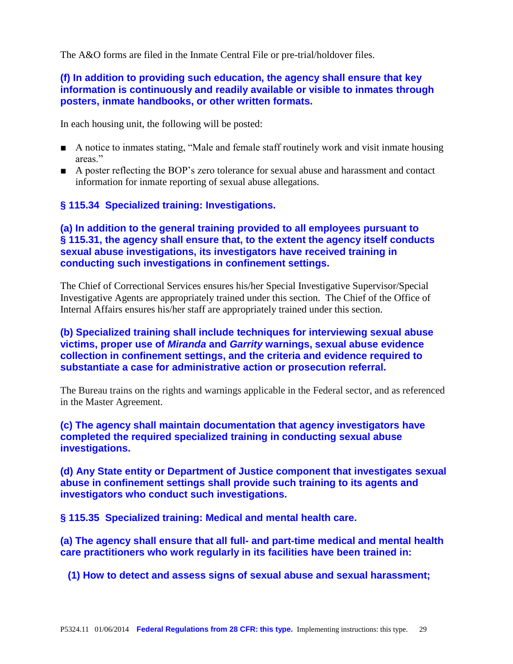The A&O forms are filed in the Inmate Central File or pre-trial/holdover files.

# **(f) In addition to providing such education, the agency shall ensure that key information is continuously and readily available or visible to inmates through posters, inmate handbooks, or other written formats.**

In each housing unit, the following will be posted:

- A notice to inmates stating, "Male and female staff routinely work and visit inmate housing areas"
- A poster reflecting the BOP's zero tolerance for sexual abuse and harassment and contact information for inmate reporting of sexual abuse allegations.

# **§ 115.34 Specialized training: Investigations.**

# **(a) In addition to the general training provided to all employees pursuant to § 115.31, the agency shall ensure that, to the extent the agency itself conducts sexual abuse investigations, its investigators have received training in conducting such investigations in confinement settings.**

The Chief of Correctional Services ensures his/her Special Investigative Supervisor/Special Investigative Agents are appropriately trained under this section. The Chief of the Office of Internal Affairs ensures his/her staff are appropriately trained under this section.

# **(b) Specialized training shall include techniques for interviewing sexual abuse victims, proper use of** *Miranda* **and** *Garrity* **warnings, sexual abuse evidence collection in confinement settings, and the criteria and evidence required to substantiate a case for administrative action or prosecution referral.**

The Bureau trains on the rights and warnings applicable in the Federal sector, and as referenced in the Master Agreement.

**(c) The agency shall maintain documentation that agency investigators have completed the required specialized training in conducting sexual abuse investigations.**

**(d) Any State entity or Department of Justice component that investigates sexual abuse in confinement settings shall provide such training to its agents and investigators who conduct such investigations.**

**§ 115.35 Specialized training: Medical and mental health care.**

**(a) The agency shall ensure that all full- and part-time medical and mental health care practitioners who work regularly in its facilities have been trained in:**

**(1) How to detect and assess signs of sexual abuse and sexual harassment;**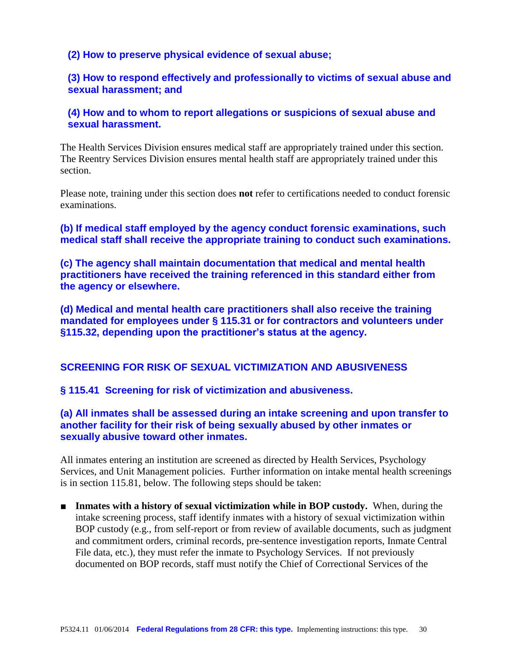## **(2) How to preserve physical evidence of sexual abuse;**

# **(3) How to respond effectively and professionally to victims of sexual abuse and sexual harassment; and**

# **(4) How and to whom to report allegations or suspicions of sexual abuse and sexual harassment.**

The Health Services Division ensures medical staff are appropriately trained under this section. The Reentry Services Division ensures mental health staff are appropriately trained under this section.

Please note, training under this section does **not** refer to certifications needed to conduct forensic examinations.

**(b) If medical staff employed by the agency conduct forensic examinations, such medical staff shall receive the appropriate training to conduct such examinations.**

**(c) The agency shall maintain documentation that medical and mental health practitioners have received the training referenced in this standard either from the agency or elsewhere.**

**(d) Medical and mental health care practitioners shall also receive the training mandated for employees under § 115.31 or for contractors and volunteers under §115.32, depending upon the practitioner's status at the agency.**

#### **SCREENING FOR RISK OF SEXUAL VICTIMIZATION AND ABUSIVENESS**

**§ 115.41 Screening for risk of victimization and abusiveness.**

# **(a) All inmates shall be assessed during an intake screening and upon transfer to another facility for their risk of being sexually abused by other inmates or sexually abusive toward other inmates.**

All inmates entering an institution are screened as directed by Health Services, Psychology Services, and Unit Management policies. Further information on intake mental health screenings is in section 115.81, below. The following steps should be taken:

■ **Inmates with a history of sexual victimization while in BOP custody.** When, during the intake screening process, staff identify inmates with a history of sexual victimization within BOP custody (e.g., from self-report or from review of available documents, such as judgment and commitment orders, criminal records, pre-sentence investigation reports, Inmate Central File data, etc.), they must refer the inmate to Psychology Services. If not previously documented on BOP records, staff must notify the Chief of Correctional Services of the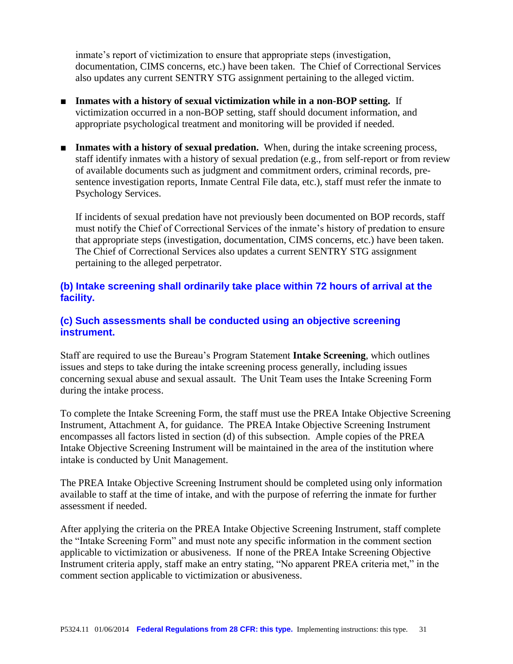inmate's report of victimization to ensure that appropriate steps (investigation, documentation, CIMS concerns, etc.) have been taken. The Chief of Correctional Services also updates any current SENTRY STG assignment pertaining to the alleged victim.

- **Inmates with a history of sexual victimization while in a non-BOP setting.** If victimization occurred in a non-BOP setting, staff should document information, and appropriate psychological treatment and monitoring will be provided if needed.
- **Inmates with a history of sexual predation.** When, during the intake screening process, staff identify inmates with a history of sexual predation (e.g., from self-report or from review of available documents such as judgment and commitment orders, criminal records, presentence investigation reports, Inmate Central File data, etc.), staff must refer the inmate to Psychology Services.

If incidents of sexual predation have not previously been documented on BOP records, staff must notify the Chief of Correctional Services of the inmate's history of predation to ensure that appropriate steps (investigation, documentation, CIMS concerns, etc.) have been taken. The Chief of Correctional Services also updates a current SENTRY STG assignment pertaining to the alleged perpetrator.

# **(b) Intake screening shall ordinarily take place within 72 hours of arrival at the facility.**

# **(c) Such assessments shall be conducted using an objective screening instrument.**

Staff are required to use the Bureau's Program Statement **Intake Screening**, which outlines issues and steps to take during the intake screening process generally, including issues concerning sexual abuse and sexual assault. The Unit Team uses the Intake Screening Form during the intake process.

To complete the Intake Screening Form, the staff must use the PREA Intake Objective Screening Instrument, Attachment A, for guidance. The PREA Intake Objective Screening Instrument encompasses all factors listed in section (d) of this subsection. Ample copies of the PREA Intake Objective Screening Instrument will be maintained in the area of the institution where intake is conducted by Unit Management.

The PREA Intake Objective Screening Instrument should be completed using only information available to staff at the time of intake, and with the purpose of referring the inmate for further assessment if needed.

After applying the criteria on the PREA Intake Objective Screening Instrument, staff complete the "Intake Screening Form" and must note any specific information in the comment section applicable to victimization or abusiveness. If none of the PREA Intake Screening Objective Instrument criteria apply, staff make an entry stating, "No apparent PREA criteria met," in the comment section applicable to victimization or abusiveness.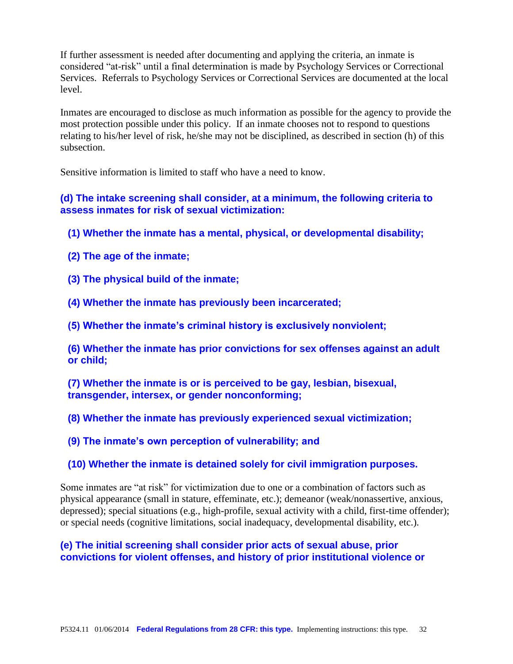If further assessment is needed after documenting and applying the criteria, an inmate is considered "at-risk" until a final determination is made by Psychology Services or Correctional Services. Referrals to Psychology Services or Correctional Services are documented at the local level.

Inmates are encouraged to disclose as much information as possible for the agency to provide the most protection possible under this policy. If an inmate chooses not to respond to questions relating to his/her level of risk, he/she may not be disciplined, as described in section (h) of this subsection.

Sensitive information is limited to staff who have a need to know.

**(d) The intake screening shall consider, at a minimum, the following criteria to assess inmates for risk of sexual victimization:**

- **(1) Whether the inmate has a mental, physical, or developmental disability;**
- **(2) The age of the inmate;**
- **(3) The physical build of the inmate;**
- **(4) Whether the inmate has previously been incarcerated;**
- **(5) Whether the inmate's criminal history is exclusively nonviolent;**

**(6) Whether the inmate has prior convictions for sex offenses against an adult or child;**

**(7) Whether the inmate is or is perceived to be gay, lesbian, bisexual, transgender, intersex, or gender nonconforming;**

**(8) Whether the inmate has previously experienced sexual victimization;**

**(9) The inmate's own perception of vulnerability; and**

#### **(10) Whether the inmate is detained solely for civil immigration purposes.**

Some inmates are "at risk" for victimization due to one or a combination of factors such as physical appearance (small in stature, effeminate, etc.); demeanor (weak/nonassertive, anxious, depressed); special situations (e.g., high-profile, sexual activity with a child, first-time offender); or special needs (cognitive limitations, social inadequacy, developmental disability, etc.).

#### **(e) The initial screening shall consider prior acts of sexual abuse, prior convictions for violent offenses, and history of prior institutional violence or**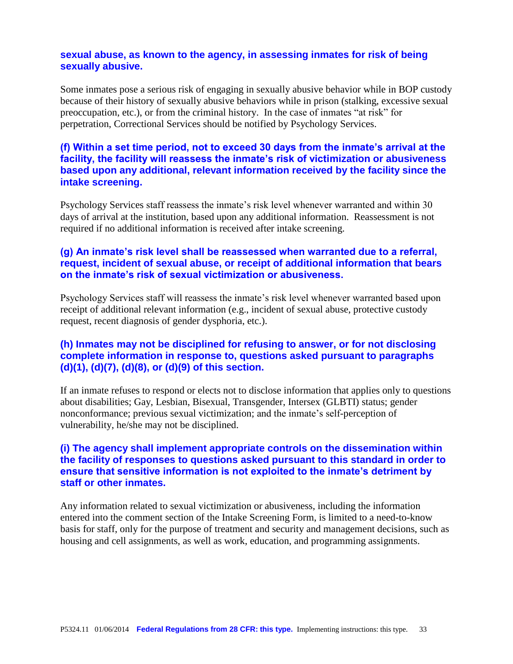# **sexual abuse, as known to the agency, in assessing inmates for risk of being sexually abusive.**

Some inmates pose a serious risk of engaging in sexually abusive behavior while in BOP custody because of their history of sexually abusive behaviors while in prison (stalking, excessive sexual preoccupation, etc.), or from the criminal history. In the case of inmates "at risk" for perpetration, Correctional Services should be notified by Psychology Services.

# **(f) Within a set time period, not to exceed 30 days from the inmate's arrival at the facility, the facility will reassess the inmate's risk of victimization or abusiveness based upon any additional, relevant information received by the facility since the intake screening.**

Psychology Services staff reassess the inmate's risk level whenever warranted and within 30 days of arrival at the institution, based upon any additional information. Reassessment is not required if no additional information is received after intake screening.

# **(g) An inmate's risk level shall be reassessed when warranted due to a referral, request, incident of sexual abuse, or receipt of additional information that bears on the inmate's risk of sexual victimization or abusiveness.**

Psychology Services staff will reassess the inmate's risk level whenever warranted based upon receipt of additional relevant information (e.g., incident of sexual abuse, protective custody request, recent diagnosis of gender dysphoria, etc.).

# **(h) Inmates may not be disciplined for refusing to answer, or for not disclosing complete information in response to, questions asked pursuant to paragraphs (d)(1), (d)(7), (d)(8), or (d)(9) of this section.**

If an inmate refuses to respond or elects not to disclose information that applies only to questions about disabilities; Gay, Lesbian, Bisexual, Transgender, Intersex (GLBTI) status; gender nonconformance; previous sexual victimization; and the inmate's self-perception of vulnerability, he/she may not be disciplined.

# **(i) The agency shall implement appropriate controls on the dissemination within the facility of responses to questions asked pursuant to this standard in order to ensure that sensitive information is not exploited to the inmate's detriment by staff or other inmates.**

Any information related to sexual victimization or abusiveness, including the information entered into the comment section of the Intake Screening Form, is limited to a need-to-know basis for staff, only for the purpose of treatment and security and management decisions, such as housing and cell assignments, as well as work, education, and programming assignments.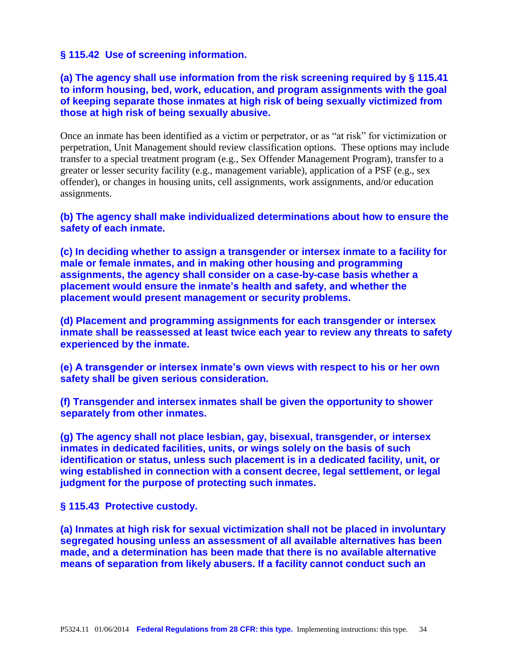# **§ 115.42 Use of screening information.**

# **(a) The agency shall use information from the risk screening required by § 115.41 to inform housing, bed, work, education, and program assignments with the goal of keeping separate those inmates at high risk of being sexually victimized from those at high risk of being sexually abusive.**

Once an inmate has been identified as a victim or perpetrator, or as "at risk" for victimization or perpetration, Unit Management should review classification options. These options may include transfer to a special treatment program (e.g., Sex Offender Management Program), transfer to a greater or lesser security facility (e.g., management variable), application of a PSF (e.g., sex offender), or changes in housing units, cell assignments, work assignments, and/or education assignments.

# **(b) The agency shall make individualized determinations about how to ensure the safety of each inmate.**

**(c) In deciding whether to assign a transgender or intersex inmate to a facility for male or female inmates, and in making other housing and programming assignments, the agency shall consider on a case-by-case basis whether a placement would ensure the inmate's health and safety, and whether the placement would present management or security problems.**

**(d) Placement and programming assignments for each transgender or intersex inmate shall be reassessed at least twice each year to review any threats to safety experienced by the inmate.**

**(e) A transgender or intersex inmate's own views with respect to his or her own safety shall be given serious consideration.**

**(f) Transgender and intersex inmates shall be given the opportunity to shower separately from other inmates.**

**(g) The agency shall not place lesbian, gay, bisexual, transgender, or intersex inmates in dedicated facilities, units, or wings solely on the basis of such identification or status, unless such placement is in a dedicated facility, unit, or wing established in connection with a consent decree, legal settlement, or legal judgment for the purpose of protecting such inmates.**

**§ 115.43 Protective custody.**

**(a) Inmates at high risk for sexual victimization shall not be placed in involuntary segregated housing unless an assessment of all available alternatives has been made, and a determination has been made that there is no available alternative means of separation from likely abusers. If a facility cannot conduct such an**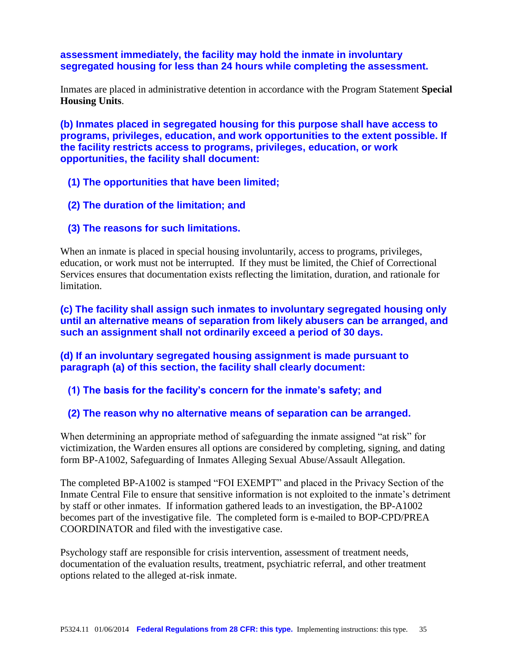## **assessment immediately, the facility may hold the inmate in involuntary segregated housing for less than 24 hours while completing the assessment.**

Inmates are placed in administrative detention in accordance with the Program Statement **Special Housing Units**.

**(b) Inmates placed in segregated housing for this purpose shall have access to programs, privileges, education, and work opportunities to the extent possible. If the facility restricts access to programs, privileges, education, or work opportunities, the facility shall document:**

- **(1) The opportunities that have been limited;**
- **(2) The duration of the limitation; and**
- **(3) The reasons for such limitations.**

When an inmate is placed in special housing involuntarily, access to programs, privileges, education, or work must not be interrupted. If they must be limited, the Chief of Correctional Services ensures that documentation exists reflecting the limitation, duration, and rationale for limitation.

**(c) The facility shall assign such inmates to involuntary segregated housing only until an alternative means of separation from likely abusers can be arranged, and such an assignment shall not ordinarily exceed a period of 30 days.**

**(d) If an involuntary segregated housing assignment is made pursuant to paragraph (a) of this section, the facility shall clearly document:**

**(1) The basis for the facility's concern for the inmate's safety; and**

**(2) The reason why no alternative means of separation can be arranged.**

When determining an appropriate method of safeguarding the inmate assigned "at risk" for victimization, the Warden ensures all options are considered by completing, signing, and dating form BP-A1002, Safeguarding of Inmates Alleging Sexual Abuse/Assault Allegation.

The completed BP-A1002 is stamped "FOI EXEMPT" and placed in the Privacy Section of the Inmate Central File to ensure that sensitive information is not exploited to the inmate's detriment by staff or other inmates. If information gathered leads to an investigation, the BP-A1002 becomes part of the investigative file. The completed form is e-mailed to BOP-CPD/PREA COORDINATOR and filed with the investigative case.

Psychology staff are responsible for crisis intervention, assessment of treatment needs, documentation of the evaluation results, treatment, psychiatric referral, and other treatment options related to the alleged at-risk inmate.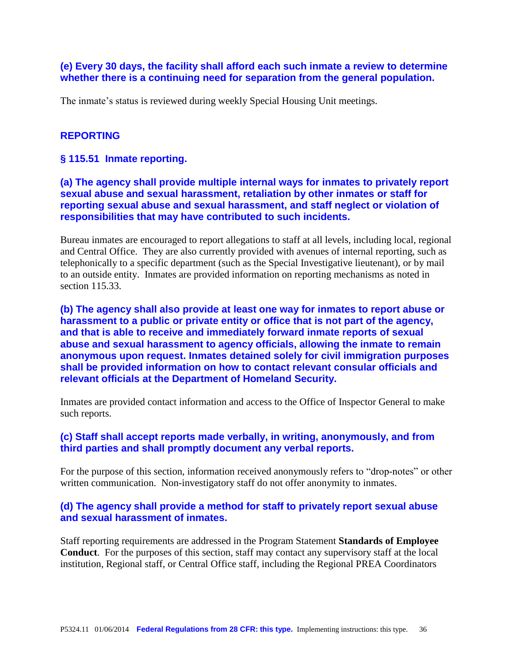#### **(e) Every 30 days, the facility shall afford each such inmate a review to determine whether there is a continuing need for separation from the general population.**

The inmate's status is reviewed during weekly Special Housing Unit meetings.

#### **REPORTING**

#### **§ 115.51 Inmate reporting.**

# **(a) The agency shall provide multiple internal ways for inmates to privately report sexual abuse and sexual harassment, retaliation by other inmates or staff for reporting sexual abuse and sexual harassment, and staff neglect or violation of responsibilities that may have contributed to such incidents.**

Bureau inmates are encouraged to report allegations to staff at all levels, including local, regional and Central Office. They are also currently provided with avenues of internal reporting, such as telephonically to a specific department (such as the Special Investigative lieutenant), or by mail to an outside entity. Inmates are provided information on reporting mechanisms as noted in section 115.33.

**(b) The agency shall also provide at least one way for inmates to report abuse or harassment to a public or private entity or office that is not part of the agency, and that is able to receive and immediately forward inmate reports of sexual abuse and sexual harassment to agency officials, allowing the inmate to remain anonymous upon request. Inmates detained solely for civil immigration purposes shall be provided information on how to contact relevant consular officials and relevant officials at the Department of Homeland Security.**

Inmates are provided contact information and access to the Office of Inspector General to make such reports.

#### **(c) Staff shall accept reports made verbally, in writing, anonymously, and from third parties and shall promptly document any verbal reports.**

For the purpose of this section, information received anonymously refers to "drop-notes" or other written communication. Non-investigatory staff do not offer anonymity to inmates.

# **(d) The agency shall provide a method for staff to privately report sexual abuse and sexual harassment of inmates.**

Staff reporting requirements are addressed in the Program Statement **Standards of Employee Conduct**. For the purposes of this section, staff may contact any supervisory staff at the local institution, Regional staff, or Central Office staff, including the Regional PREA Coordinators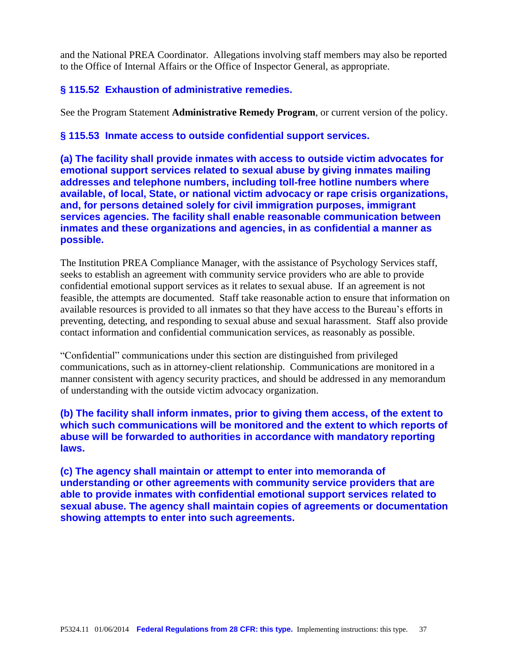and the National PREA Coordinator. Allegations involving staff members may also be reported to the Office of Internal Affairs or the Office of Inspector General, as appropriate.

# **§ 115.52 Exhaustion of administrative remedies.**

See the Program Statement **Administrative Remedy Program**, or current version of the policy.

# **§ 115.53 Inmate access to outside confidential support services.**

**(a) The facility shall provide inmates with access to outside victim advocates for emotional support services related to sexual abuse by giving inmates mailing addresses and telephone numbers, including toll-free hotline numbers where available, of local, State, or national victim advocacy or rape crisis organizations, and, for persons detained solely for civil immigration purposes, immigrant services agencies. The facility shall enable reasonable communication between inmates and these organizations and agencies, in as confidential a manner as possible.**

The Institution PREA Compliance Manager, with the assistance of Psychology Services staff, seeks to establish an agreement with community service providers who are able to provide confidential emotional support services as it relates to sexual abuse. If an agreement is not feasible, the attempts are documented. Staff take reasonable action to ensure that information on available resources is provided to all inmates so that they have access to the Bureau's efforts in preventing, detecting, and responding to sexual abuse and sexual harassment. Staff also provide contact information and confidential communication services, as reasonably as possible.

"Confidential" communications under this section are distinguished from privileged communications, such as in attorney-client relationship. Communications are monitored in a manner consistent with agency security practices, and should be addressed in any memorandum of understanding with the outside victim advocacy organization.

# **(b) The facility shall inform inmates, prior to giving them access, of the extent to which such communications will be monitored and the extent to which reports of abuse will be forwarded to authorities in accordance with mandatory reporting laws.**

**(c) The agency shall maintain or attempt to enter into memoranda of understanding or other agreements with community service providers that are able to provide inmates with confidential emotional support services related to sexual abuse. The agency shall maintain copies of agreements or documentation showing attempts to enter into such agreements.**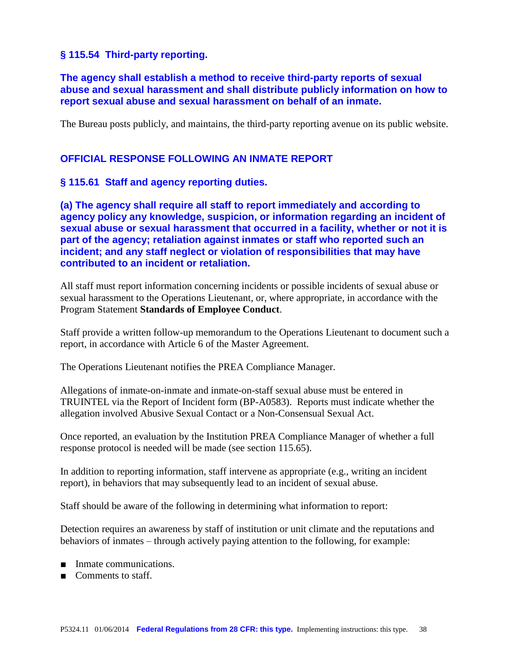# **§ 115.54 Third-party reporting.**

# **The agency shall establish a method to receive third-party reports of sexual abuse and sexual harassment and shall distribute publicly information on how to report sexual abuse and sexual harassment on behalf of an inmate.**

The Bureau posts publicly, and maintains, the third-party reporting avenue on its public website.

# **OFFICIAL RESPONSE FOLLOWING AN INMATE REPORT**

#### **§ 115.61 Staff and agency reporting duties.**

**(a) The agency shall require all staff to report immediately and according to agency policy any knowledge, suspicion, or information regarding an incident of sexual abuse or sexual harassment that occurred in a facility, whether or not it is part of the agency; retaliation against inmates or staff who reported such an incident; and any staff neglect or violation of responsibilities that may have contributed to an incident or retaliation.**

All staff must report information concerning incidents or possible incidents of sexual abuse or sexual harassment to the Operations Lieutenant, or, where appropriate, in accordance with the Program Statement **Standards of Employee Conduct**.

Staff provide a written follow-up memorandum to the Operations Lieutenant to document such a report, in accordance with Article 6 of the Master Agreement.

The Operations Lieutenant notifies the PREA Compliance Manager.

Allegations of inmate-on-inmate and inmate-on-staff sexual abuse must be entered in TRUINTEL via the Report of Incident form (BP-A0583). Reports must indicate whether the allegation involved Abusive Sexual Contact or a Non-Consensual Sexual Act.

Once reported, an evaluation by the Institution PREA Compliance Manager of whether a full response protocol is needed will be made (see section 115.65).

In addition to reporting information, staff intervene as appropriate (e.g., writing an incident report), in behaviors that may subsequently lead to an incident of sexual abuse.

Staff should be aware of the following in determining what information to report:

Detection requires an awareness by staff of institution or unit climate and the reputations and behaviors of inmates – through actively paying attention to the following, for example:

- Inmate communications.
- Comments to staff.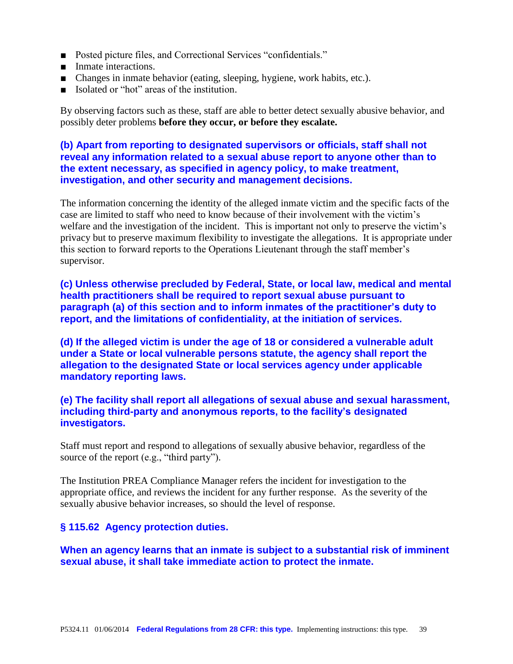- Posted picture files, and Correctional Services "confidentials."
- Inmate interactions.
- Changes in inmate behavior (eating, sleeping, hygiene, work habits, etc.).
- Isolated or "hot" areas of the institution.

By observing factors such as these, staff are able to better detect sexually abusive behavior, and possibly deter problems **before they occur, or before they escalate.**

# **(b) Apart from reporting to designated supervisors or officials, staff shall not reveal any information related to a sexual abuse report to anyone other than to the extent necessary, as specified in agency policy, to make treatment, investigation, and other security and management decisions.**

The information concerning the identity of the alleged inmate victim and the specific facts of the case are limited to staff who need to know because of their involvement with the victim's welfare and the investigation of the incident. This is important not only to preserve the victim's privacy but to preserve maximum flexibility to investigate the allegations. It is appropriate under this section to forward reports to the Operations Lieutenant through the staff member's supervisor.

**(c) Unless otherwise precluded by Federal, State, or local law, medical and mental health practitioners shall be required to report sexual abuse pursuant to paragraph (a) of this section and to inform inmates of the practitioner's duty to report, and the limitations of confidentiality, at the initiation of services.**

**(d) If the alleged victim is under the age of 18 or considered a vulnerable adult under a State or local vulnerable persons statute, the agency shall report the allegation to the designated State or local services agency under applicable mandatory reporting laws.**

**(e) The facility shall report all allegations of sexual abuse and sexual harassment, including third-party and anonymous reports, to the facility's designated investigators.**

Staff must report and respond to allegations of sexually abusive behavior, regardless of the source of the report (e.g., "third party").

The Institution PREA Compliance Manager refers the incident for investigation to the appropriate office, and reviews the incident for any further response. As the severity of the sexually abusive behavior increases, so should the level of response.

# **§ 115.62 Agency protection duties.**

**When an agency learns that an inmate is subject to a substantial risk of imminent sexual abuse, it shall take immediate action to protect the inmate.**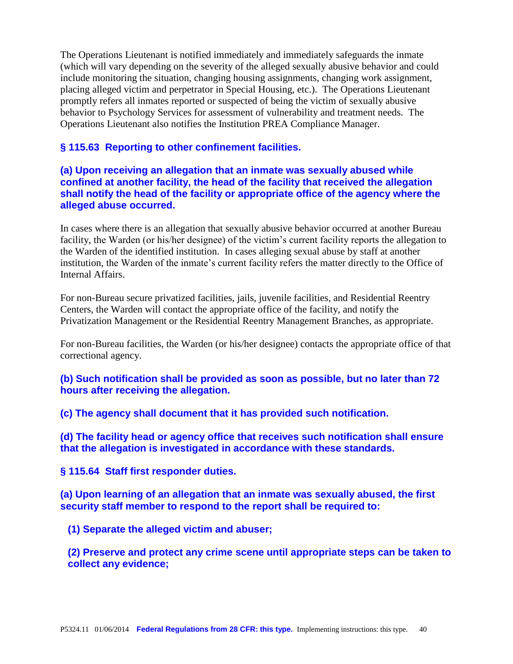The Operations Lieutenant is notified immediately and immediately safeguards the inmate (which will vary depending on the severity of the alleged sexually abusive behavior and could include monitoring the situation, changing housing assignments, changing work assignment, placing alleged victim and perpetrator in Special Housing, etc.). The Operations Lieutenant promptly refers all inmates reported or suspected of being the victim of sexually abusive behavior to Psychology Services for assessment of vulnerability and treatment needs. The Operations Lieutenant also notifies the Institution PREA Compliance Manager.

# **§ 115.63 Reporting to other confinement facilities.**

# **(a) Upon receiving an allegation that an inmate was sexually abused while confined at another facility, the head of the facility that received the allegation shall notify the head of the facility or appropriate office of the agency where the alleged abuse occurred.**

In cases where there is an allegation that sexually abusive behavior occurred at another Bureau facility, the Warden (or his/her designee) of the victim's current facility reports the allegation to the Warden of the identified institution. In cases alleging sexual abuse by staff at another institution, the Warden of the inmate's current facility refers the matter directly to the Office of Internal Affairs.

For non-Bureau secure privatized facilities, jails, juvenile facilities, and Residential Reentry Centers, the Warden will contact the appropriate office of the facility, and notify the Privatization Management or the Residential Reentry Management Branches, as appropriate.

For non-Bureau facilities, the Warden (or his/her designee) contacts the appropriate office of that correctional agency.

**(b) Such notification shall be provided as soon as possible, but no later than 72 hours after receiving the allegation.**

**(c) The agency shall document that it has provided such notification.**

**(d) The facility head or agency office that receives such notification shall ensure that the allegation is investigated in accordance with these standards.**

**§ 115.64 Staff first responder duties.**

**(a) Upon learning of an allegation that an inmate was sexually abused, the first security staff member to respond to the report shall be required to:**

**(1) Separate the alleged victim and abuser;**

**(2) Preserve and protect any crime scene until appropriate steps can be taken to collect any evidence;**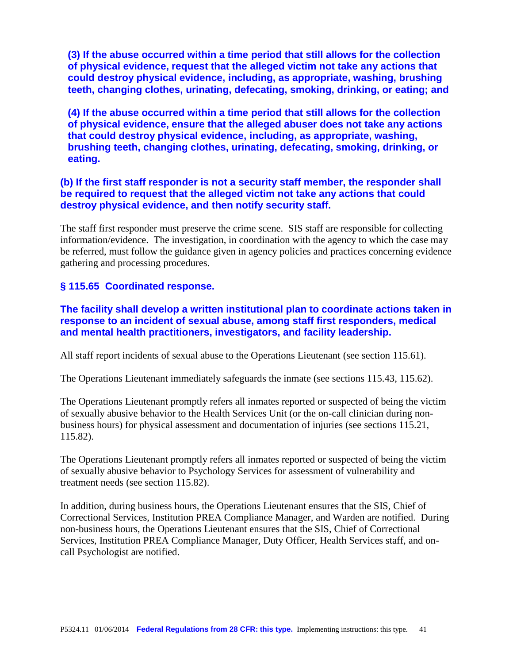**(3) If the abuse occurred within a time period that still allows for the collection of physical evidence, request that the alleged victim not take any actions that could destroy physical evidence, including, as appropriate, washing, brushing teeth, changing clothes, urinating, defecating, smoking, drinking, or eating; and**

**(4) If the abuse occurred within a time period that still allows for the collection of physical evidence, ensure that the alleged abuser does not take any actions that could destroy physical evidence, including, as appropriate, washing, brushing teeth, changing clothes, urinating, defecating, smoking, drinking, or eating.**

# **(b) If the first staff responder is not a security staff member, the responder shall be required to request that the alleged victim not take any actions that could destroy physical evidence, and then notify security staff.**

The staff first responder must preserve the crime scene. SIS staff are responsible for collecting information/evidence. The investigation, in coordination with the agency to which the case may be referred, must follow the guidance given in agency policies and practices concerning evidence gathering and processing procedures.

# **§ 115.65 Coordinated response.**

**The facility shall develop a written institutional plan to coordinate actions taken in response to an incident of sexual abuse, among staff first responders, medical and mental health practitioners, investigators, and facility leadership.**

All staff report incidents of sexual abuse to the Operations Lieutenant (see section 115.61).

The Operations Lieutenant immediately safeguards the inmate (see sections 115.43, 115.62).

The Operations Lieutenant promptly refers all inmates reported or suspected of being the victim of sexually abusive behavior to the Health Services Unit (or the on-call clinician during nonbusiness hours) for physical assessment and documentation of injuries (see sections 115.21, 115.82).

The Operations Lieutenant promptly refers all inmates reported or suspected of being the victim of sexually abusive behavior to Psychology Services for assessment of vulnerability and treatment needs (see section 115.82).

In addition, during business hours, the Operations Lieutenant ensures that the SIS, Chief of Correctional Services, Institution PREA Compliance Manager, and Warden are notified. During non-business hours, the Operations Lieutenant ensures that the SIS, Chief of Correctional Services, Institution PREA Compliance Manager, Duty Officer, Health Services staff, and oncall Psychologist are notified.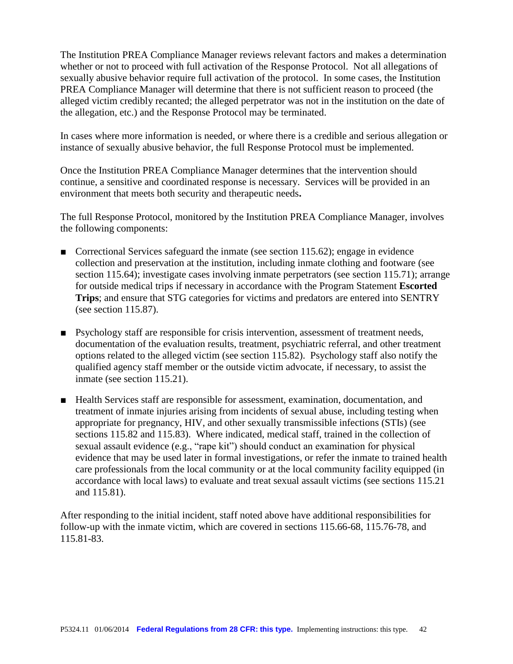The Institution PREA Compliance Manager reviews relevant factors and makes a determination whether or not to proceed with full activation of the Response Protocol. Not all allegations of sexually abusive behavior require full activation of the protocol. In some cases, the Institution PREA Compliance Manager will determine that there is not sufficient reason to proceed (the alleged victim credibly recanted; the alleged perpetrator was not in the institution on the date of the allegation, etc.) and the Response Protocol may be terminated.

In cases where more information is needed, or where there is a credible and serious allegation or instance of sexually abusive behavior, the full Response Protocol must be implemented.

Once the Institution PREA Compliance Manager determines that the intervention should continue, a sensitive and coordinated response is necessary. Services will be provided in an environment that meets both security and therapeutic needs**.** 

The full Response Protocol, monitored by the Institution PREA Compliance Manager, involves the following components:

- Correctional Services safeguard the inmate (see section 115.62); engage in evidence collection and preservation at the institution, including inmate clothing and footware (see section 115.64); investigate cases involving inmate perpetrators (see section 115.71); arrange for outside medical trips if necessary in accordance with the Program Statement **Escorted Trips**; and ensure that STG categories for victims and predators are entered into SENTRY (see section 115.87).
- Psychology staff are responsible for crisis intervention, assessment of treatment needs, documentation of the evaluation results, treatment, psychiatric referral, and other treatment options related to the alleged victim (see section 115.82). Psychology staff also notify the qualified agency staff member or the outside victim advocate, if necessary, to assist the inmate (see section 115.21).
- Health Services staff are responsible for assessment, examination, documentation, and treatment of inmate injuries arising from incidents of sexual abuse, including testing when appropriate for pregnancy, HIV, and other sexually transmissible infections (STIs) (see sections 115.82 and 115.83). Where indicated, medical staff, trained in the collection of sexual assault evidence (e.g., "rape kit") should conduct an examination for physical evidence that may be used later in formal investigations, or refer the inmate to trained health care professionals from the local community or at the local community facility equipped (in accordance with local laws) to evaluate and treat sexual assault victims (see sections 115.21 and 115.81).

After responding to the initial incident, staff noted above have additional responsibilities for follow-up with the inmate victim, which are covered in sections 115.66-68, 115.76-78, and 115.81-83.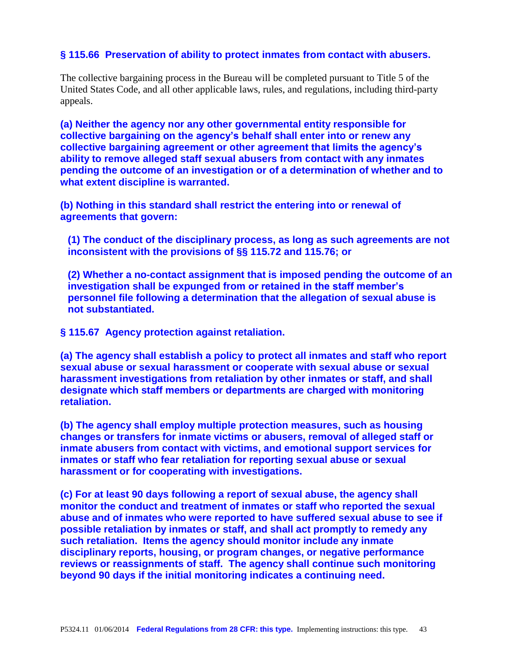# **§ 115.66 Preservation of ability to protect inmates from contact with abusers.**

The collective bargaining process in the Bureau will be completed pursuant to Title 5 of the United States Code, and all other applicable laws, rules, and regulations, including third-party appeals.

**(a) Neither the agency nor any other governmental entity responsible for collective bargaining on the agency's behalf shall enter into or renew any collective bargaining agreement or other agreement that limits the agency's ability to remove alleged staff sexual abusers from contact with any inmates pending the outcome of an investigation or of a determination of whether and to what extent discipline is warranted.**

**(b) Nothing in this standard shall restrict the entering into or renewal of agreements that govern:**

**(1) The conduct of the disciplinary process, as long as such agreements are not inconsistent with the provisions of §§ 115.72 and 115.76; or**

**(2) Whether a no-contact assignment that is imposed pending the outcome of an investigation shall be expunged from or retained in the staff member's personnel file following a determination that the allegation of sexual abuse is not substantiated.**

**§ 115.67 Agency protection against retaliation.**

**(a) The agency shall establish a policy to protect all inmates and staff who report sexual abuse or sexual harassment or cooperate with sexual abuse or sexual harassment investigations from retaliation by other inmates or staff, and shall designate which staff members or departments are charged with monitoring retaliation.**

**(b) The agency shall employ multiple protection measures, such as housing changes or transfers for inmate victims or abusers, removal of alleged staff or inmate abusers from contact with victims, and emotional support services for inmates or staff who fear retaliation for reporting sexual abuse or sexual harassment or for cooperating with investigations.**

**(c) For at least 90 days following a report of sexual abuse, the agency shall monitor the conduct and treatment of inmates or staff who reported the sexual abuse and of inmates who were reported to have suffered sexual abuse to see if possible retaliation by inmates or staff, and shall act promptly to remedy any such retaliation. Items the agency should monitor include any inmate disciplinary reports, housing, or program changes, or negative performance reviews or reassignments of staff. The agency shall continue such monitoring beyond 90 days if the initial monitoring indicates a continuing need.**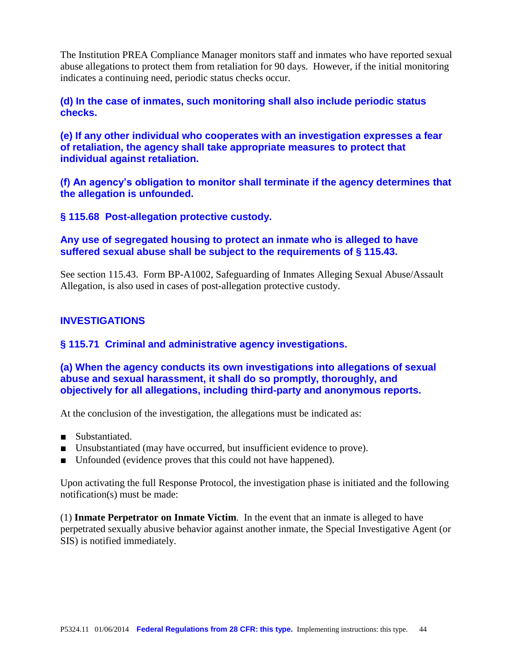The Institution PREA Compliance Manager monitors staff and inmates who have reported sexual abuse allegations to protect them from retaliation for 90 days. However, if the initial monitoring indicates a continuing need, periodic status checks occur.

**(d) In the case of inmates, such monitoring shall also include periodic status checks.**

**(e) If any other individual who cooperates with an investigation expresses a fear of retaliation, the agency shall take appropriate measures to protect that individual against retaliation.**

**(f) An agency's obligation to monitor shall terminate if the agency determines that the allegation is unfounded.**

**§ 115.68 Post-allegation protective custody.**

# **Any use of segregated housing to protect an inmate who is alleged to have suffered sexual abuse shall be subject to the requirements of § 115.43.**

See section 115.43. Form BP-A1002, Safeguarding of Inmates Alleging Sexual Abuse/Assault Allegation, is also used in cases of post-allegation protective custody.

# **INVESTIGATIONS**

# **§ 115.71 Criminal and administrative agency investigations.**

**(a) When the agency conducts its own investigations into allegations of sexual abuse and sexual harassment, it shall do so promptly, thoroughly, and objectively for all allegations, including third-party and anonymous reports.**

At the conclusion of the investigation, the allegations must be indicated as:

- Substantiated.
- Unsubstantiated (may have occurred, but insufficient evidence to prove).
- Unfounded (evidence proves that this could not have happened).

Upon activating the full Response Protocol, the investigation phase is initiated and the following notification(s) must be made:

(1) **Inmate Perpetrator on Inmate Victim**. In the event that an inmate is alleged to have perpetrated sexually abusive behavior against another inmate, the Special Investigative Agent (or SIS) is notified immediately.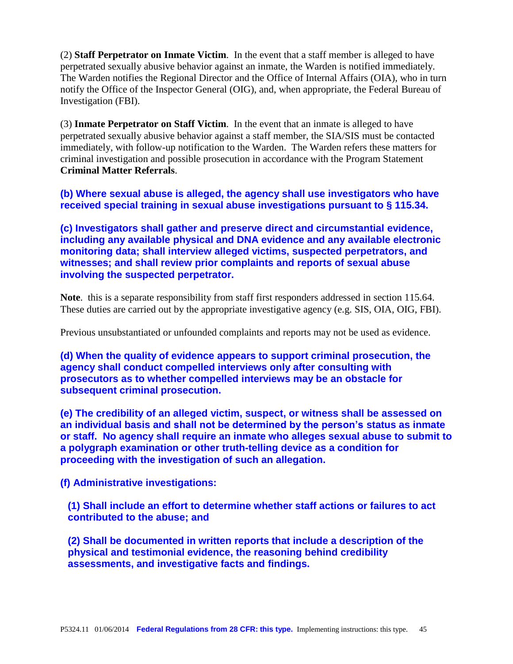(2) **Staff Perpetrator on Inmate Victim**. In the event that a staff member is alleged to have perpetrated sexually abusive behavior against an inmate, the Warden is notified immediately. The Warden notifies the Regional Director and the Office of Internal Affairs (OIA), who in turn notify the Office of the Inspector General (OIG), and, when appropriate, the Federal Bureau of Investigation (FBI).

(3) **Inmate Perpetrator on Staff Victim**. In the event that an inmate is alleged to have perpetrated sexually abusive behavior against a staff member, the SIA/SIS must be contacted immediately, with follow-up notification to the Warden. The Warden refers these matters for criminal investigation and possible prosecution in accordance with the Program Statement **Criminal Matter Referrals**.

**(b) Where sexual abuse is alleged, the agency shall use investigators who have received special training in sexual abuse investigations pursuant to § 115.34.**

**(c) Investigators shall gather and preserve direct and circumstantial evidence, including any available physical and DNA evidence and any available electronic monitoring data; shall interview alleged victims, suspected perpetrators, and witnesses; and shall review prior complaints and reports of sexual abuse involving the suspected perpetrator.**

**Note**. this is a separate responsibility from staff first responders addressed in section 115.64. These duties are carried out by the appropriate investigative agency (e.g. SIS, OIA, OIG, FBI).

Previous unsubstantiated or unfounded complaints and reports may not be used as evidence.

**(d) When the quality of evidence appears to support criminal prosecution, the agency shall conduct compelled interviews only after consulting with prosecutors as to whether compelled interviews may be an obstacle for subsequent criminal prosecution.**

**(e) The credibility of an alleged victim, suspect, or witness shall be assessed on an individual basis and shall not be determined by the person's status as inmate or staff. No agency shall require an inmate who alleges sexual abuse to submit to a polygraph examination or other truth-telling device as a condition for proceeding with the investigation of such an allegation.**

**(f) Administrative investigations:**

**(1) Shall include an effort to determine whether staff actions or failures to act contributed to the abuse; and**

**(2) Shall be documented in written reports that include a description of the physical and testimonial evidence, the reasoning behind credibility assessments, and investigative facts and findings.**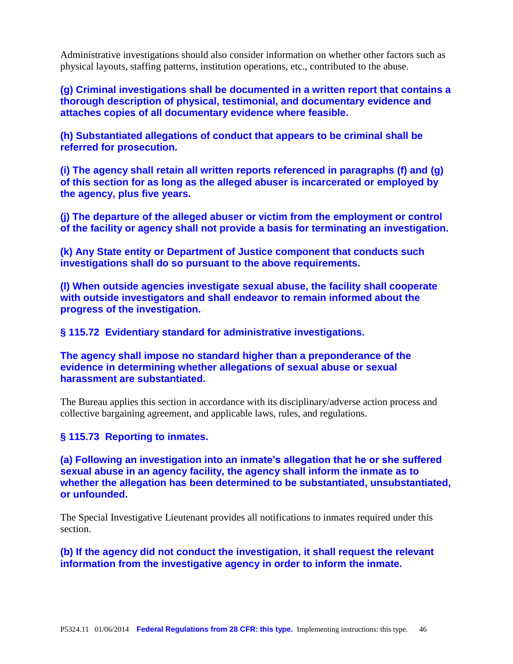Administrative investigations should also consider information on whether other factors such as physical layouts, staffing patterns, institution operations, etc., contributed to the abuse.

**(g) Criminal investigations shall be documented in a written report that contains a thorough description of physical, testimonial, and documentary evidence and attaches copies of all documentary evidence where feasible.**

**(h) Substantiated allegations of conduct that appears to be criminal shall be referred for prosecution.**

**(i) The agency shall retain all written reports referenced in paragraphs (f) and (g) of this section for as long as the alleged abuser is incarcerated or employed by the agency, plus five years.**

**(j) The departure of the alleged abuser or victim from the employment or control of the facility or agency shall not provide a basis for terminating an investigation.**

**(k) Any State entity or Department of Justice component that conducts such investigations shall do so pursuant to the above requirements.**

**(l) When outside agencies investigate sexual abuse, the facility shall cooperate with outside investigators and shall endeavor to remain informed about the progress of the investigation.**

**§ 115.72 Evidentiary standard for administrative investigations.**

**The agency shall impose no standard higher than a preponderance of the evidence in determining whether allegations of sexual abuse or sexual harassment are substantiated.**

The Bureau applies this section in accordance with its disciplinary/adverse action process and collective bargaining agreement, and applicable laws, rules, and regulations.

#### **§ 115.73 Reporting to inmates.**

**(a) Following an investigation into an inmate's allegation that he or she suffered sexual abuse in an agency facility, the agency shall inform the inmate as to whether the allegation has been determined to be substantiated, unsubstantiated, or unfounded.**

The Special Investigative Lieutenant provides all notifications to inmates required under this section.

**(b) If the agency did not conduct the investigation, it shall request the relevant information from the investigative agency in order to inform the inmate.**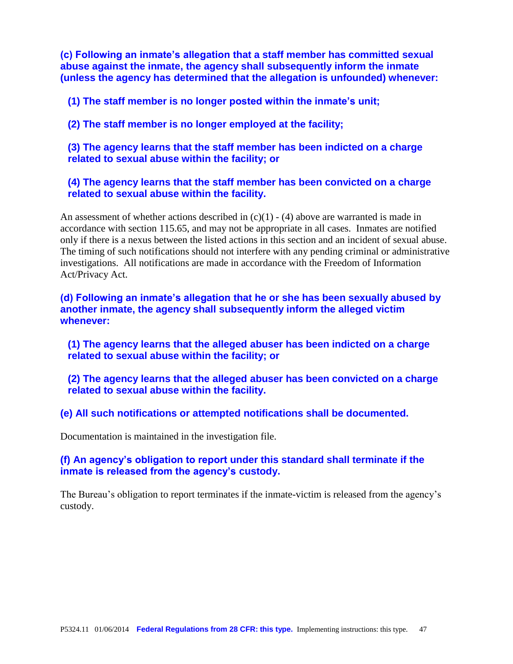**(c) Following an inmate's allegation that a staff member has committed sexual abuse against the inmate, the agency shall subsequently inform the inmate (unless the agency has determined that the allegation is unfounded) whenever:**

**(1) The staff member is no longer posted within the inmate's unit;**

**(2) The staff member is no longer employed at the facility;**

**(3) The agency learns that the staff member has been indicted on a charge related to sexual abuse within the facility; or**

**(4) The agency learns that the staff member has been convicted on a charge related to sexual abuse within the facility.**

An assessment of whether actions described in  $(c)(1) - (4)$  above are warranted is made in accordance with section 115.65, and may not be appropriate in all cases. Inmates are notified only if there is a nexus between the listed actions in this section and an incident of sexual abuse. The timing of such notifications should not interfere with any pending criminal or administrative investigations. All notifications are made in accordance with the Freedom of Information Act/Privacy Act.

**(d) Following an inmate's allegation that he or she has been sexually abused by another inmate, the agency shall subsequently inform the alleged victim whenever:**

**(1) The agency learns that the alleged abuser has been indicted on a charge related to sexual abuse within the facility; or**

**(2) The agency learns that the alleged abuser has been convicted on a charge related to sexual abuse within the facility.**

**(e) All such notifications or attempted notifications shall be documented.**

Documentation is maintained in the investigation file.

#### **(f) An agency's obligation to report under this standard shall terminate if the inmate is released from the agency's custody.**

The Bureau's obligation to report terminates if the inmate-victim is released from the agency's custody.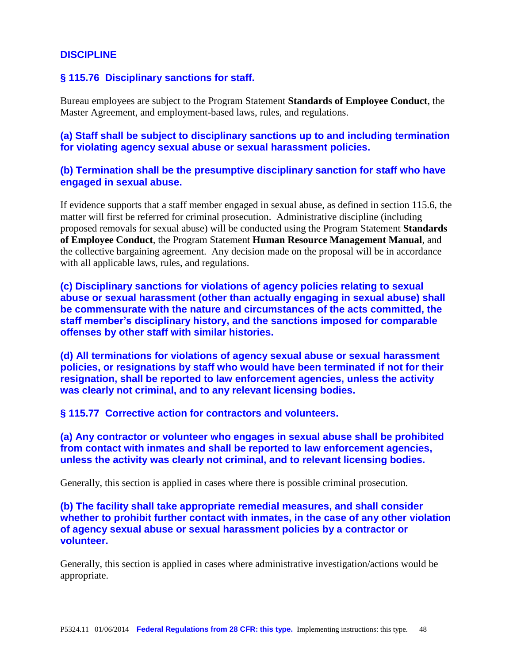#### **DISCIPLINE**

#### **§ 115.76 Disciplinary sanctions for staff.**

Bureau employees are subject to the Program Statement **Standards of Employee Conduct**, the Master Agreement, and employment-based laws, rules, and regulations.

**(a) Staff shall be subject to disciplinary sanctions up to and including termination for violating agency sexual abuse or sexual harassment policies.**

#### **(b) Termination shall be the presumptive disciplinary sanction for staff who have engaged in sexual abuse.**

If evidence supports that a staff member engaged in sexual abuse, as defined in section 115.6, the matter will first be referred for criminal prosecution. Administrative discipline (including proposed removals for sexual abuse) will be conducted using the Program Statement **Standards of Employee Conduct**, the Program Statement **Human Resource Management Manual**, and the collective bargaining agreement. Any decision made on the proposal will be in accordance with all applicable laws, rules, and regulations.

**(c) Disciplinary sanctions for violations of agency policies relating to sexual abuse or sexual harassment (other than actually engaging in sexual abuse) shall be commensurate with the nature and circumstances of the acts committed, the staff member's disciplinary history, and the sanctions imposed for comparable offenses by other staff with similar histories.**

**(d) All terminations for violations of agency sexual abuse or sexual harassment policies, or resignations by staff who would have been terminated if not for their resignation, shall be reported to law enforcement agencies, unless the activity was clearly not criminal, and to any relevant licensing bodies.**

**§ 115.77 Corrective action for contractors and volunteers.**

**(a) Any contractor or volunteer who engages in sexual abuse shall be prohibited from contact with inmates and shall be reported to law enforcement agencies, unless the activity was clearly not criminal, and to relevant licensing bodies.**

Generally, this section is applied in cases where there is possible criminal prosecution.

**(b) The facility shall take appropriate remedial measures, and shall consider whether to prohibit further contact with inmates, in the case of any other violation of agency sexual abuse or sexual harassment policies by a contractor or volunteer.**

Generally, this section is applied in cases where administrative investigation/actions would be appropriate.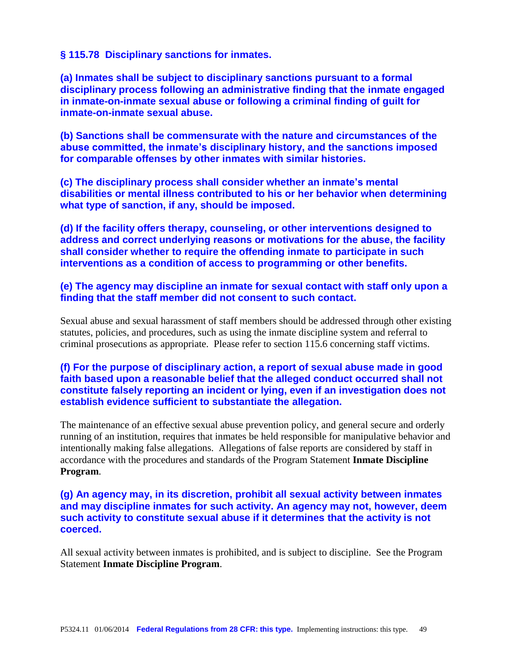#### **§ 115.78 Disciplinary sanctions for inmates.**

**(a) Inmates shall be subject to disciplinary sanctions pursuant to a formal disciplinary process following an administrative finding that the inmate engaged in inmate-on-inmate sexual abuse or following a criminal finding of guilt for inmate-on-inmate sexual abuse.**

**(b) Sanctions shall be commensurate with the nature and circumstances of the abuse committed, the inmate's disciplinary history, and the sanctions imposed for comparable offenses by other inmates with similar histories.**

**(c) The disciplinary process shall consider whether an inmate's mental disabilities or mental illness contributed to his or her behavior when determining what type of sanction, if any, should be imposed.**

**(d) If the facility offers therapy, counseling, or other interventions designed to address and correct underlying reasons or motivations for the abuse, the facility shall consider whether to require the offending inmate to participate in such interventions as a condition of access to programming or other benefits.**

**(e) The agency may discipline an inmate for sexual contact with staff only upon a finding that the staff member did not consent to such contact.**

Sexual abuse and sexual harassment of staff members should be addressed through other existing statutes, policies, and procedures, such as using the inmate discipline system and referral to criminal prosecutions as appropriate. Please refer to section 115.6 concerning staff victims.

# **(f) For the purpose of disciplinary action, a report of sexual abuse made in good faith based upon a reasonable belief that the alleged conduct occurred shall not constitute falsely reporting an incident or lying, even if an investigation does not establish evidence sufficient to substantiate the allegation.**

The maintenance of an effective sexual abuse prevention policy, and general secure and orderly running of an institution, requires that inmates be held responsible for manipulative behavior and intentionally making false allegations. Allegations of false reports are considered by staff in accordance with the procedures and standards of the Program Statement **Inmate Discipline Program**.

# **(g) An agency may, in its discretion, prohibit all sexual activity between inmates and may discipline inmates for such activity. An agency may not, however, deem such activity to constitute sexual abuse if it determines that the activity is not coerced.**

All sexual activity between inmates is prohibited, and is subject to discipline. See the Program Statement **Inmate Discipline Program**.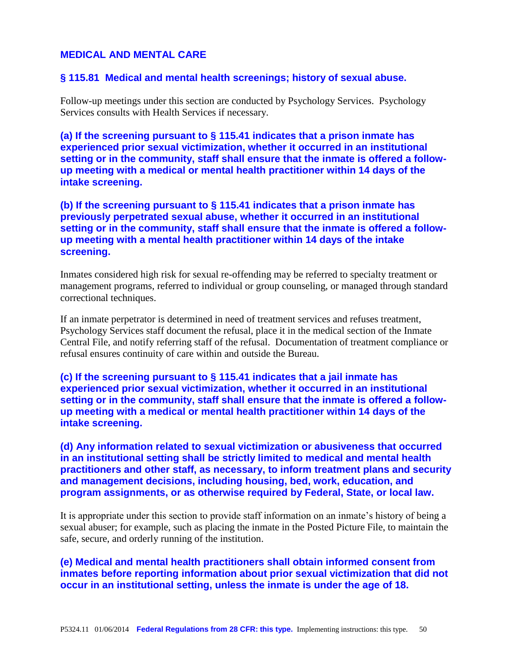# **MEDICAL AND MENTAL CARE**

#### **§ 115.81 Medical and mental health screenings; history of sexual abuse.**

Follow-up meetings under this section are conducted by Psychology Services. Psychology Services consults with Health Services if necessary.

**(a) If the screening pursuant to § 115.41 indicates that a prison inmate has experienced prior sexual victimization, whether it occurred in an institutional setting or in the community, staff shall ensure that the inmate is offered a followup meeting with a medical or mental health practitioner within 14 days of the intake screening.**

**(b) If the screening pursuant to § 115.41 indicates that a prison inmate has previously perpetrated sexual abuse, whether it occurred in an institutional setting or in the community, staff shall ensure that the inmate is offered a followup meeting with a mental health practitioner within 14 days of the intake screening.**

Inmates considered high risk for sexual re-offending may be referred to specialty treatment or management programs, referred to individual or group counseling, or managed through standard correctional techniques.

If an inmate perpetrator is determined in need of treatment services and refuses treatment, Psychology Services staff document the refusal, place it in the medical section of the Inmate Central File, and notify referring staff of the refusal. Documentation of treatment compliance or refusal ensures continuity of care within and outside the Bureau.

**(c) If the screening pursuant to § 115.41 indicates that a jail inmate has experienced prior sexual victimization, whether it occurred in an institutional setting or in the community, staff shall ensure that the inmate is offered a followup meeting with a medical or mental health practitioner within 14 days of the intake screening.**

**(d) Any information related to sexual victimization or abusiveness that occurred in an institutional setting shall be strictly limited to medical and mental health practitioners and other staff, as necessary, to inform treatment plans and security and management decisions, including housing, bed, work, education, and program assignments, or as otherwise required by Federal, State, or local law.**

It is appropriate under this section to provide staff information on an inmate's history of being a sexual abuser; for example, such as placing the inmate in the Posted Picture File, to maintain the safe, secure, and orderly running of the institution.

**(e) Medical and mental health practitioners shall obtain informed consent from inmates before reporting information about prior sexual victimization that did not occur in an institutional setting, unless the inmate is under the age of 18.**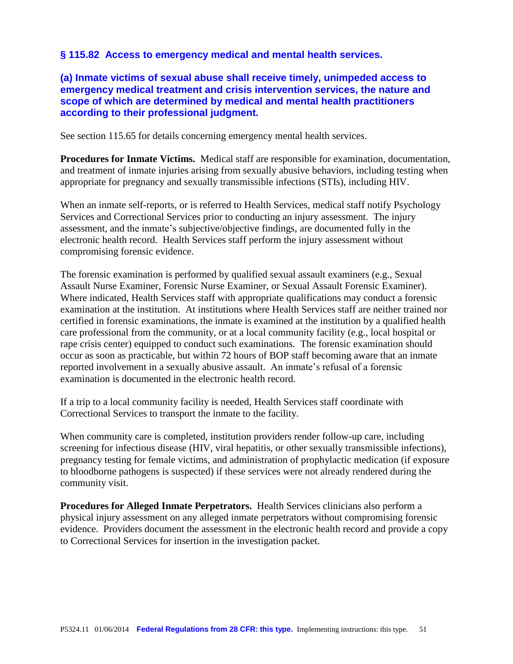# **§ 115.82 Access to emergency medical and mental health services.**

**(a) Inmate victims of sexual abuse shall receive timely, unimpeded access to emergency medical treatment and crisis intervention services, the nature and scope of which are determined by medical and mental health practitioners according to their professional judgment.**

See section 115.65 for details concerning emergency mental health services.

**Procedures for Inmate Victims.** Medical staff are responsible for examination, documentation, and treatment of inmate injuries arising from sexually abusive behaviors, including testing when appropriate for pregnancy and sexually transmissible infections (STIs), including HIV.

When an inmate self-reports, or is referred to Health Services, medical staff notify Psychology Services and Correctional Services prior to conducting an injury assessment. The injury assessment, and the inmate's subjective/objective findings, are documented fully in the electronic health record. Health Services staff perform the injury assessment without compromising forensic evidence.

The forensic examination is performed by qualified sexual assault examiners (e.g., Sexual Assault Nurse Examiner, Forensic Nurse Examiner, or Sexual Assault Forensic Examiner). Where indicated, Health Services staff with appropriate qualifications may conduct a forensic examination at the institution. At institutions where Health Services staff are neither trained nor certified in forensic examinations, the inmate is examined at the institution by a qualified health care professional from the community, or at a local community facility (e.g., local hospital or rape crisis center) equipped to conduct such examinations. The forensic examination should occur as soon as practicable, but within 72 hours of BOP staff becoming aware that an inmate reported involvement in a sexually abusive assault. An inmate's refusal of a forensic examination is documented in the electronic health record.

If a trip to a local community facility is needed, Health Services staff coordinate with Correctional Services to transport the inmate to the facility.

When community care is completed, institution providers render follow-up care, including screening for infectious disease (HIV, viral hepatitis, or other sexually transmissible infections), pregnancy testing for female victims, and administration of prophylactic medication (if exposure to bloodborne pathogens is suspected) if these services were not already rendered during the community visit.

**Procedures for Alleged Inmate Perpetrators.** Health Services clinicians also perform a physical injury assessment on any alleged inmate perpetrators without compromising forensic evidence. Providers document the assessment in the electronic health record and provide a copy to Correctional Services for insertion in the investigation packet.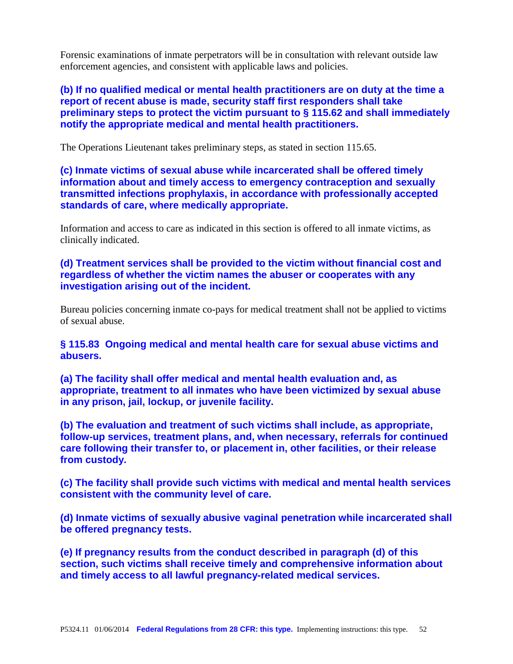Forensic examinations of inmate perpetrators will be in consultation with relevant outside law enforcement agencies, and consistent with applicable laws and policies.

**(b) If no qualified medical or mental health practitioners are on duty at the time a report of recent abuse is made, security staff first responders shall take preliminary steps to protect the victim pursuant to § 115.62 and shall immediately notify the appropriate medical and mental health practitioners.**

The Operations Lieutenant takes preliminary steps, as stated in section 115.65.

**(c) Inmate victims of sexual abuse while incarcerated shall be offered timely information about and timely access to emergency contraception and sexually transmitted infections prophylaxis, in accordance with professionally accepted standards of care, where medically appropriate.**

Information and access to care as indicated in this section is offered to all inmate victims, as clinically indicated.

**(d) Treatment services shall be provided to the victim without financial cost and regardless of whether the victim names the abuser or cooperates with any investigation arising out of the incident.**

Bureau policies concerning inmate co-pays for medical treatment shall not be applied to victims of sexual abuse.

**§ 115.83 Ongoing medical and mental health care for sexual abuse victims and abusers.**

**(a) The facility shall offer medical and mental health evaluation and, as appropriate, treatment to all inmates who have been victimized by sexual abuse in any prison, jail, lockup, or juvenile facility.**

**(b) The evaluation and treatment of such victims shall include, as appropriate, follow-up services, treatment plans, and, when necessary, referrals for continued care following their transfer to, or placement in, other facilities, or their release from custody.**

**(c) The facility shall provide such victims with medical and mental health services consistent with the community level of care.**

**(d) Inmate victims of sexually abusive vaginal penetration while incarcerated shall be offered pregnancy tests.**

**(e) If pregnancy results from the conduct described in paragraph (d) of this section, such victims shall receive timely and comprehensive information about and timely access to all lawful pregnancy-related medical services.**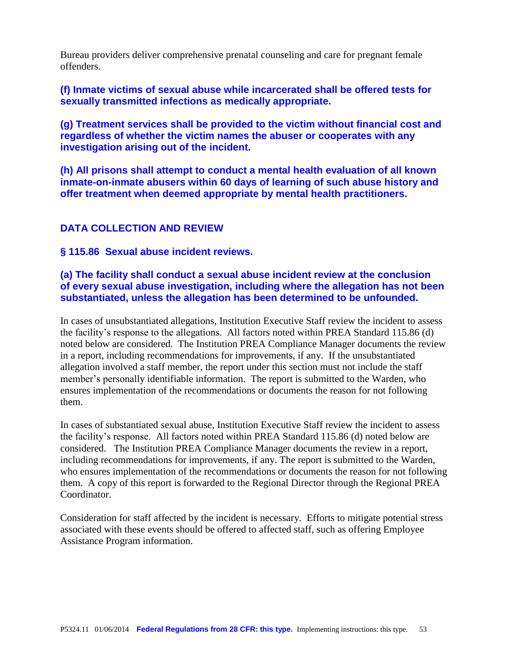Bureau providers deliver comprehensive prenatal counseling and care for pregnant female offenders.

**(f) Inmate victims of sexual abuse while incarcerated shall be offered tests for sexually transmitted infections as medically appropriate.**

**(g) Treatment services shall be provided to the victim without financial cost and regardless of whether the victim names the abuser or cooperates with any investigation arising out of the incident.**

**(h) All prisons shall attempt to conduct a mental health evaluation of all known inmate-on-inmate abusers within 60 days of learning of such abuse history and offer treatment when deemed appropriate by mental health practitioners.**

# **DATA COLLECTION AND REVIEW**

**§ 115.86 Sexual abuse incident reviews.**

# **(a) The facility shall conduct a sexual abuse incident review at the conclusion of every sexual abuse investigation, including where the allegation has not been substantiated, unless the allegation has been determined to be unfounded.**

In cases of unsubstantiated allegations, Institution Executive Staff review the incident to assess the facility's response to the allegations. All factors noted within PREA Standard 115.86 (d) noted below are considered. The Institution PREA Compliance Manager documents the review in a report, including recommendations for improvements, if any. If the unsubstantiated allegation involved a staff member, the report under this section must not include the staff member's personally identifiable information. The report is submitted to the Warden, who ensures implementation of the recommendations or documents the reason for not following them.

In cases of substantiated sexual abuse, Institution Executive Staff review the incident to assess the facility's response. All factors noted within PREA Standard 115.86 (d) noted below are considered. The Institution PREA Compliance Manager documents the review in a report, including recommendations for improvements, if any. The report is submitted to the Warden, who ensures implementation of the recommendations or documents the reason for not following them. A copy of this report is forwarded to the Regional Director through the Regional PREA Coordinator.

Consideration for staff affected by the incident is necessary. Efforts to mitigate potential stress associated with these events should be offered to affected staff, such as offering Employee Assistance Program information.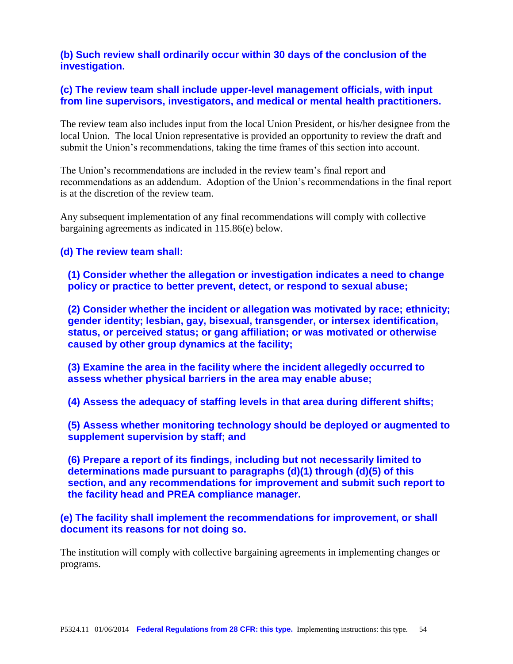# **(b) Such review shall ordinarily occur within 30 days of the conclusion of the investigation.**

# **(c) The review team shall include upper-level management officials, with input from line supervisors, investigators, and medical or mental health practitioners.**

The review team also includes input from the local Union President, or his/her designee from the local Union. The local Union representative is provided an opportunity to review the draft and submit the Union's recommendations, taking the time frames of this section into account.

The Union's recommendations are included in the review team's final report and recommendations as an addendum. Adoption of the Union's recommendations in the final report is at the discretion of the review team.

Any subsequent implementation of any final recommendations will comply with collective bargaining agreements as indicated in 115.86(e) below.

# **(d) The review team shall:**

**(1) Consider whether the allegation or investigation indicates a need to change policy or practice to better prevent, detect, or respond to sexual abuse;**

**(2) Consider whether the incident or allegation was motivated by race; ethnicity; gender identity; lesbian, gay, bisexual, transgender, or intersex identification, status, or perceived status; or gang affiliation; or was motivated or otherwise caused by other group dynamics at the facility;**

**(3) Examine the area in the facility where the incident allegedly occurred to assess whether physical barriers in the area may enable abuse;**

**(4) Assess the adequacy of staffing levels in that area during different shifts;**

**(5) Assess whether monitoring technology should be deployed or augmented to supplement supervision by staff; and**

**(6) Prepare a report of its findings, including but not necessarily limited to determinations made pursuant to paragraphs (d)(1) through (d)(5) of this section, and any recommendations for improvement and submit such report to the facility head and PREA compliance manager.**

**(e) The facility shall implement the recommendations for improvement, or shall document its reasons for not doing so.**

The institution will comply with collective bargaining agreements in implementing changes or programs.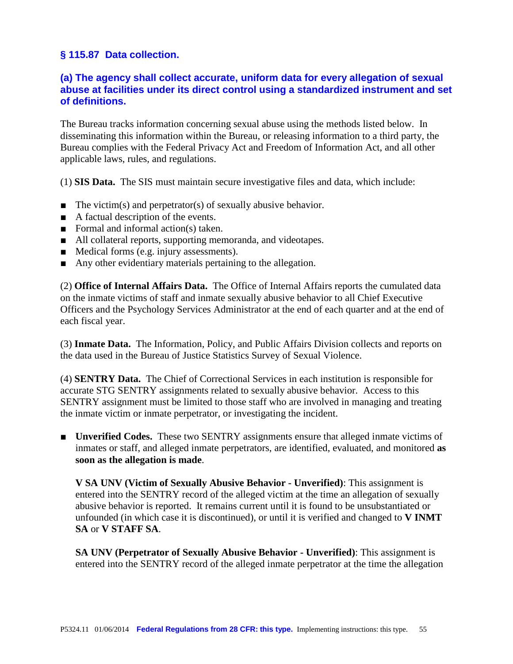# **§ 115.87 Data collection.**

# **(a) The agency shall collect accurate, uniform data for every allegation of sexual abuse at facilities under its direct control using a standardized instrument and set of definitions.**

The Bureau tracks information concerning sexual abuse using the methods listed below. In disseminating this information within the Bureau, or releasing information to a third party, the Bureau complies with the Federal Privacy Act and Freedom of Information Act, and all other applicable laws, rules, and regulations.

(1) **SIS Data.** The SIS must maintain secure investigative files and data, which include:

- The victim(s) and perpetrator(s) of sexually abusive behavior.
- A factual description of the events.
- Formal and informal action(s) taken.
- All collateral reports, supporting memoranda, and videotapes.
- Medical forms (e.g. injury assessments).
- Any other evidentiary materials pertaining to the allegation.

(2) **Office of Internal Affairs Data.** The Office of Internal Affairs reports the cumulated data on the inmate victims of staff and inmate sexually abusive behavior to all Chief Executive Officers and the Psychology Services Administrator at the end of each quarter and at the end of each fiscal year.

(3) **Inmate Data.** The Information, Policy, and Public Affairs Division collects and reports on the data used in the Bureau of Justice Statistics Survey of Sexual Violence.

(4) **SENTRY Data.** The Chief of Correctional Services in each institution is responsible for accurate STG SENTRY assignments related to sexually abusive behavior. Access to this SENTRY assignment must be limited to those staff who are involved in managing and treating the inmate victim or inmate perpetrator, or investigating the incident.

■ **Unverified Codes.** These two SENTRY assignments ensure that alleged inmate victims of inmates or staff, and alleged inmate perpetrators, are identified, evaluated, and monitored **as soon as the allegation is made**.

**V SA UNV (Victim of Sexually Abusive Behavior - Unverified)**: This assignment is entered into the SENTRY record of the alleged victim at the time an allegation of sexually abusive behavior is reported. It remains current until it is found to be unsubstantiated or unfounded (in which case it is discontinued), or until it is verified and changed to **V INMT SA** or **V STAFF SA**.

**SA UNV (Perpetrator of Sexually Abusive Behavior - Unverified)**: This assignment is entered into the SENTRY record of the alleged inmate perpetrator at the time the allegation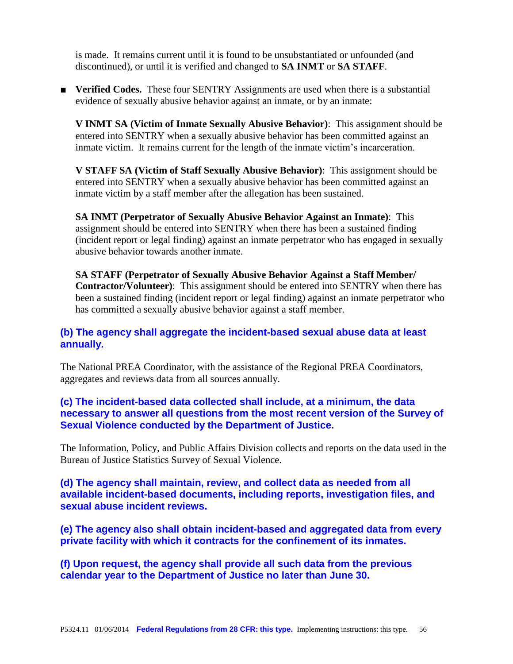is made. It remains current until it is found to be unsubstantiated or unfounded (and discontinued), or until it is verified and changed to **SA INMT** or **SA STAFF**.

■ **Verified Codes.** These four SENTRY Assignments are used when there is a substantial evidence of sexually abusive behavior against an inmate, or by an inmate:

**V INMT SA (Victim of Inmate Sexually Abusive Behavior)**: This assignment should be entered into SENTRY when a sexually abusive behavior has been committed against an inmate victim. It remains current for the length of the inmate victim's incarceration.

**V STAFF SA (Victim of Staff Sexually Abusive Behavior)**: This assignment should be entered into SENTRY when a sexually abusive behavior has been committed against an inmate victim by a staff member after the allegation has been sustained.

**SA INMT (Perpetrator of Sexually Abusive Behavior Against an Inmate)**: This assignment should be entered into SENTRY when there has been a sustained finding (incident report or legal finding) against an inmate perpetrator who has engaged in sexually abusive behavior towards another inmate.

**SA STAFF (Perpetrator of Sexually Abusive Behavior Against a Staff Member/ Contractor/Volunteer)**: This assignment should be entered into SENTRY when there has been a sustained finding (incident report or legal finding) against an inmate perpetrator who has committed a sexually abusive behavior against a staff member.

# **(b) The agency shall aggregate the incident-based sexual abuse data at least annually.**

The National PREA Coordinator, with the assistance of the Regional PREA Coordinators, aggregates and reviews data from all sources annually.

# **(c) The incident-based data collected shall include, at a minimum, the data necessary to answer all questions from the most recent version of the Survey of Sexual Violence conducted by the Department of Justice.**

The Information, Policy, and Public Affairs Division collects and reports on the data used in the Bureau of Justice Statistics Survey of Sexual Violence.

**(d) The agency shall maintain, review, and collect data as needed from all available incident-based documents, including reports, investigation files, and sexual abuse incident reviews.**

**(e) The agency also shall obtain incident-based and aggregated data from every private facility with which it contracts for the confinement of its inmates.**

**(f) Upon request, the agency shall provide all such data from the previous calendar year to the Department of Justice no later than June 30.**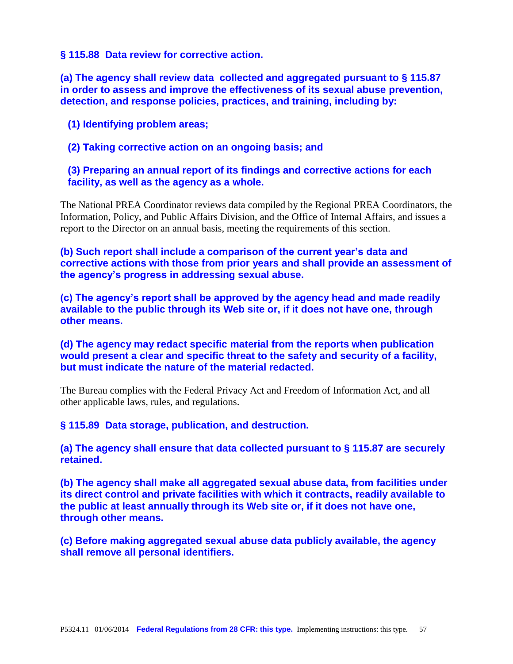#### **§ 115.88 Data review for corrective action.**

**(a) The agency shall review data collected and aggregated pursuant to § 115.87 in order to assess and improve the effectiveness of its sexual abuse prevention, detection, and response policies, practices, and training, including by:**

**(1) Identifying problem areas;**

**(2) Taking corrective action on an ongoing basis; and**

**(3) Preparing an annual report of its findings and corrective actions for each facility, as well as the agency as a whole.**

The National PREA Coordinator reviews data compiled by the Regional PREA Coordinators, the Information, Policy, and Public Affairs Division, and the Office of Internal Affairs, and issues a report to the Director on an annual basis, meeting the requirements of this section.

**(b) Such report shall include a comparison of the current year's data and corrective actions with those from prior years and shall provide an assessment of the agency's progress in addressing sexual abuse.**

**(c) The agency's report shall be approved by the agency head and made readily available to the public through its Web site or, if it does not have one, through other means.**

**(d) The agency may redact specific material from the reports when publication would present a clear and specific threat to the safety and security of a facility, but must indicate the nature of the material redacted.**

The Bureau complies with the Federal Privacy Act and Freedom of Information Act, and all other applicable laws, rules, and regulations.

**§ 115.89 Data storage, publication, and destruction.**

**(a) The agency shall ensure that data collected pursuant to § 115.87 are securely retained.**

**(b) The agency shall make all aggregated sexual abuse data, from facilities under its direct control and private facilities with which it contracts, readily available to the public at least annually through its Web site or, if it does not have one, through other means.**

**(c) Before making aggregated sexual abuse data publicly available, the agency shall remove all personal identifiers.**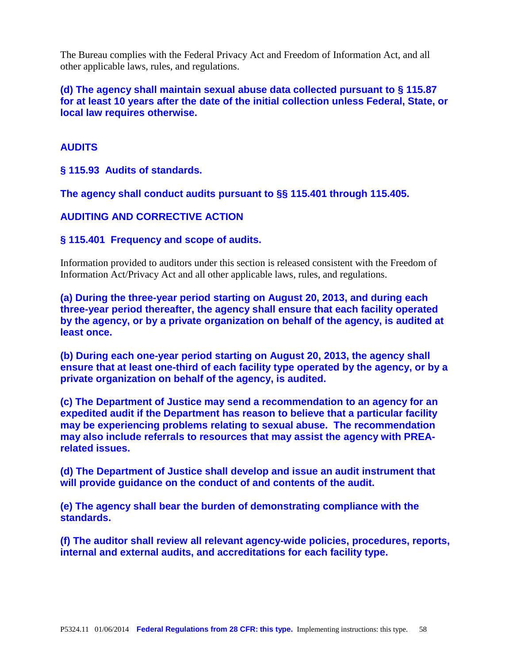The Bureau complies with the Federal Privacy Act and Freedom of Information Act, and all other applicable laws, rules, and regulations.

**(d) The agency shall maintain sexual abuse data collected pursuant to § 115.87 for at least 10 years after the date of the initial collection unless Federal, State, or local law requires otherwise.**

# **AUDITS**

**§ 115.93 Audits of standards.**

**The agency shall conduct audits pursuant to §§ 115.401 through 115.405.**

**AUDITING AND CORRECTIVE ACTION** 

**§ 115.401 Frequency and scope of audits.**

Information provided to auditors under this section is released consistent with the Freedom of Information Act/Privacy Act and all other applicable laws, rules, and regulations.

**(a) During the three-year period starting on August 20, 2013, and during each three-year period thereafter, the agency shall ensure that each facility operated by the agency, or by a private organization on behalf of the agency, is audited at least once.**

**(b) During each one-year period starting on August 20, 2013, the agency shall ensure that at least one-third of each facility type operated by the agency, or by a private organization on behalf of the agency, is audited.**

**(c) The Department of Justice may send a recommendation to an agency for an expedited audit if the Department has reason to believe that a particular facility may be experiencing problems relating to sexual abuse. The recommendation may also include referrals to resources that may assist the agency with PREArelated issues.**

**(d) The Department of Justice shall develop and issue an audit instrument that will provide guidance on the conduct of and contents of the audit.**

**(e) The agency shall bear the burden of demonstrating compliance with the standards.**

**(f) The auditor shall review all relevant agency-wide policies, procedures, reports, internal and external audits, and accreditations for each facility type.**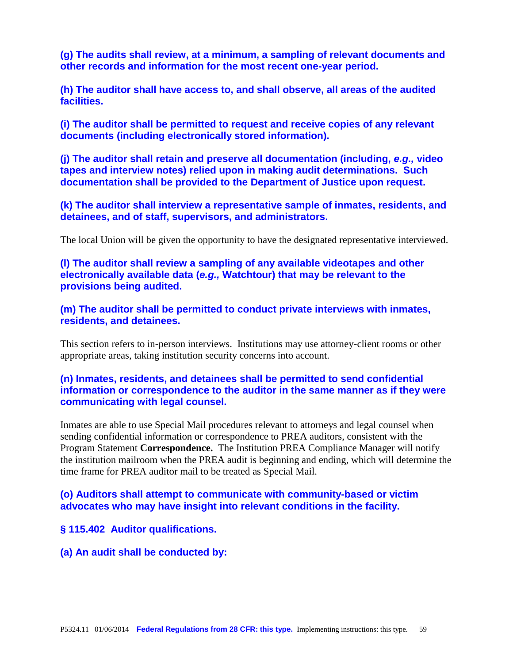**(g) The audits shall review, at a minimum, a sampling of relevant documents and other records and information for the most recent one-year period.**

**(h) The auditor shall have access to, and shall observe, all areas of the audited facilities.**

**(i) The auditor shall be permitted to request and receive copies of any relevant documents (including electronically stored information).**

**(j) The auditor shall retain and preserve all documentation (including,** *e.g.,* **video tapes and interview notes) relied upon in making audit determinations. Such documentation shall be provided to the Department of Justice upon request.**

**(k) The auditor shall interview a representative sample of inmates, residents, and detainees, and of staff, supervisors, and administrators.**

The local Union will be given the opportunity to have the designated representative interviewed.

**(l) The auditor shall review a sampling of any available videotapes and other electronically available data (***e.g.,* **Watchtour) that may be relevant to the provisions being audited.**

**(m) The auditor shall be permitted to conduct private interviews with inmates, residents, and detainees.**

This section refers to in-person interviews. Institutions may use attorney-client rooms or other appropriate areas, taking institution security concerns into account.

# **(n) Inmates, residents, and detainees shall be permitted to send confidential information or correspondence to the auditor in the same manner as if they were communicating with legal counsel.**

Inmates are able to use Special Mail procedures relevant to attorneys and legal counsel when sending confidential information or correspondence to PREA auditors, consistent with the Program Statement **Correspondence.** The Institution PREA Compliance Manager will notify the institution mailroom when the PREA audit is beginning and ending, which will determine the time frame for PREA auditor mail to be treated as Special Mail.

# **(o) Auditors shall attempt to communicate with community-based or victim advocates who may have insight into relevant conditions in the facility.**

**§ 115.402 Auditor qualifications.**

**(a) An audit shall be conducted by:**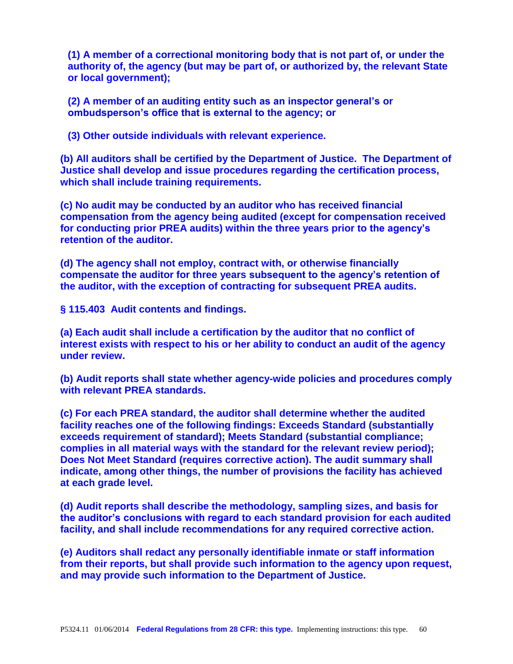**(1) A member of a correctional monitoring body that is not part of, or under the authority of, the agency (but may be part of, or authorized by, the relevant State or local government);**

**(2) A member of an auditing entity such as an inspector general's or ombudsperson's office that is external to the agency; or**

**(3) Other outside individuals with relevant experience.**

**(b) All auditors shall be certified by the Department of Justice. The Department of Justice shall develop and issue procedures regarding the certification process, which shall include training requirements.**

**(c) No audit may be conducted by an auditor who has received financial compensation from the agency being audited (except for compensation received for conducting prior PREA audits) within the three years prior to the agency's retention of the auditor.**

**(d) The agency shall not employ, contract with, or otherwise financially compensate the auditor for three years subsequent to the agency's retention of the auditor, with the exception of contracting for subsequent PREA audits.**

**§ 115.403 Audit contents and findings.**

**(a) Each audit shall include a certification by the auditor that no conflict of interest exists with respect to his or her ability to conduct an audit of the agency under review.**

**(b) Audit reports shall state whether agency-wide policies and procedures comply with relevant PREA standards.**

**(c) For each PREA standard, the auditor shall determine whether the audited facility reaches one of the following findings: Exceeds Standard (substantially exceeds requirement of standard); Meets Standard (substantial compliance; complies in all material ways with the standard for the relevant review period); Does Not Meet Standard (requires corrective action). The audit summary shall indicate, among other things, the number of provisions the facility has achieved at each grade level.**

**(d) Audit reports shall describe the methodology, sampling sizes, and basis for the auditor's conclusions with regard to each standard provision for each audited facility, and shall include recommendations for any required corrective action.**

**(e) Auditors shall redact any personally identifiable inmate or staff information from their reports, but shall provide such information to the agency upon request, and may provide such information to the Department of Justice.**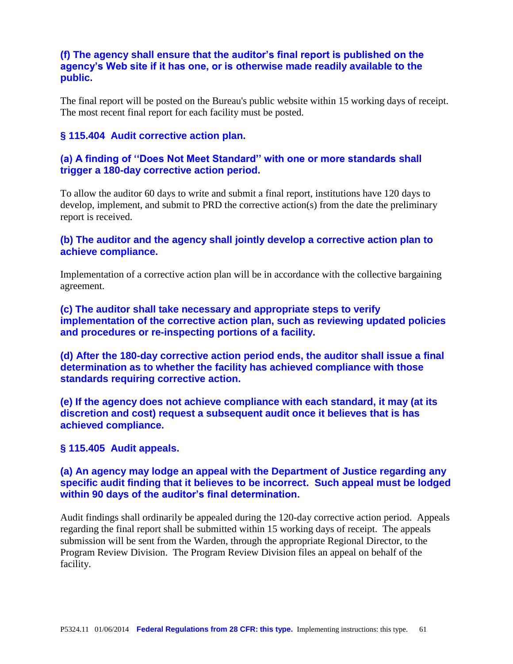# **(f) The agency shall ensure that the auditor's final report is published on the agency's Web site if it has one, or is otherwise made readily available to the public.**

The final report will be posted on the Bureau's public website within 15 working days of receipt. The most recent final report for each facility must be posted.

## **§ 115.404 Audit corrective action plan.**

# **(a) A finding of ''Does Not Meet Standard'' with one or more standards shall trigger a 180-day corrective action period.**

To allow the auditor 60 days to write and submit a final report, institutions have 120 days to develop, implement, and submit to PRD the corrective action(s) from the date the preliminary report is received.

# **(b) The auditor and the agency shall jointly develop a corrective action plan to achieve compliance.**

Implementation of a corrective action plan will be in accordance with the collective bargaining agreement.

# **(c) The auditor shall take necessary and appropriate steps to verify implementation of the corrective action plan, such as reviewing updated policies and procedures or re-inspecting portions of a facility.**

**(d) After the 180-day corrective action period ends, the auditor shall issue a final determination as to whether the facility has achieved compliance with those standards requiring corrective action.**

**(e) If the agency does not achieve compliance with each standard, it may (at its discretion and cost) request a subsequent audit once it believes that is has achieved compliance.**

#### **§ 115.405 Audit appeals.**

# **(a) An agency may lodge an appeal with the Department of Justice regarding any specific audit finding that it believes to be incorrect. Such appeal must be lodged within 90 days of the auditor's final determination.**

Audit findings shall ordinarily be appealed during the 120-day corrective action period. Appeals regarding the final report shall be submitted within 15 working days of receipt. The appeals submission will be sent from the Warden, through the appropriate Regional Director, to the Program Review Division. The Program Review Division files an appeal on behalf of the facility.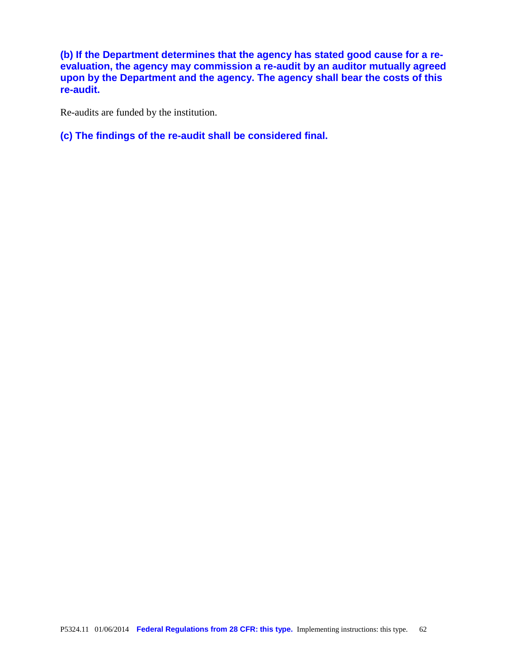**(b) If the Department determines that the agency has stated good cause for a reevaluation, the agency may commission a re-audit by an auditor mutually agreed upon by the Department and the agency. The agency shall bear the costs of this re-audit.**

Re-audits are funded by the institution.

**(c) The findings of the re-audit shall be considered final.**